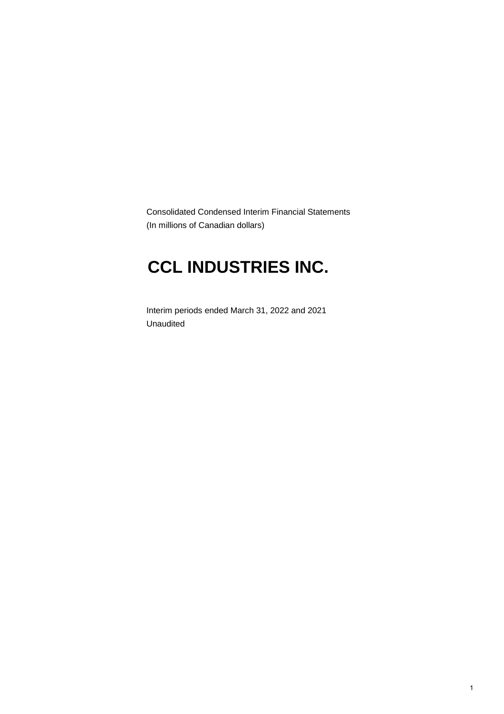Consolidated Condensed Interim Financial Statements (In millions of Canadian dollars)

# **CCL INDUSTRIES INC.**

Interim periods ended March 31, 2022 and 2021 Unaudited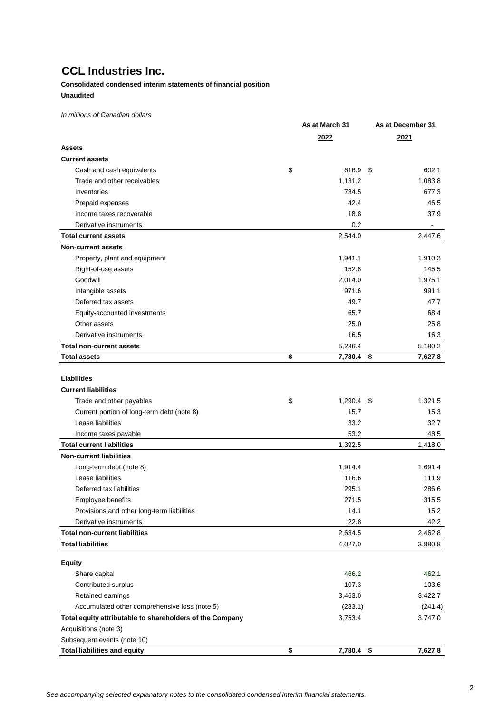### **Consolidated condensed interim statements of financial position Unaudited**

*In millions of Canadian dollars*

|                                                          | As at March 31     | As at December 31 |
|----------------------------------------------------------|--------------------|-------------------|
|                                                          | 2022               | 2021              |
| <b>Assets</b>                                            |                    |                   |
| <b>Current assets</b>                                    |                    |                   |
| Cash and cash equivalents                                | \$<br>616.9 \$     | 602.1             |
| Trade and other receivables                              | 1,131.2            | 1,083.8           |
| Inventories                                              | 734.5              | 677.3             |
| Prepaid expenses                                         | 42.4               | 46.5              |
| Income taxes recoverable                                 | 18.8               | 37.9              |
| Derivative instruments                                   | 0.2                |                   |
| <b>Total current assets</b>                              | 2,544.0            | 2,447.6           |
| <b>Non-current assets</b>                                |                    |                   |
| Property, plant and equipment                            | 1,941.1            | 1,910.3           |
| Right-of-use assets                                      | 152.8              | 145.5             |
| Goodwill                                                 | 2,014.0            | 1,975.1           |
| Intangible assets                                        | 971.6              | 991.1             |
| Deferred tax assets                                      | 49.7               | 47.7              |
| Equity-accounted investments                             | 65.7               | 68.4              |
| Other assets                                             | 25.0               | 25.8              |
| Derivative instruments                                   | 16.5               | 16.3              |
| <b>Total non-current assets</b>                          | 5,236.4            | 5,180.2           |
| <b>Total assets</b>                                      | \$<br>7,780.4 \$   | 7,627.8           |
|                                                          |                    |                   |
| <b>Liabilities</b>                                       |                    |                   |
| <b>Current liabilities</b>                               |                    |                   |
| Trade and other payables                                 | \$<br>$1,290.4$ \$ | 1,321.5           |
| Current portion of long-term debt (note 8)               | 15.7               | 15.3              |
| Lease liabilities                                        | 33.2               | 32.7              |
| Income taxes payable                                     | 53.2               | 48.5              |
| <b>Total current liabilities</b>                         | 1,392.5            | 1,418.0           |
| <b>Non-current liabilities</b>                           |                    |                   |
| Long-term debt (note 8)                                  | 1,914.4            | 1,691.4           |
| Lease liabilities                                        | 116.6              | 111.9             |
| Deferred tax liabilities                                 | 295.1              | 286.6             |
| Employee benefits                                        | 271.5              | 315.5             |
| Provisions and other long-term liabilities               | 14.1               | 15.2              |
| Derivative instruments                                   | 22.8               | 42.2              |
| <b>Total non-current liabilities</b>                     | 2,634.5            | 2,462.8           |
| <b>Total liabilities</b>                                 | 4,027.0            | 3,880.8           |
| <b>Equity</b>                                            |                    |                   |
| Share capital                                            | 466.2              | 462.1             |
| Contributed surplus                                      | 107.3              | 103.6             |
| Retained earnings                                        | 3,463.0            | 3,422.7           |
| Accumulated other comprehensive loss (note 5)            | (283.1)            | (241.4)           |
| Total equity attributable to shareholders of the Company | 3,753.4            | 3,747.0           |
| Acquisitions (note 3)                                    |                    |                   |
| Subsequent events (note 10)                              |                    |                   |
| <b>Total liabilities and equity</b>                      | \$<br>7,780.4 \$   | 7,627.8           |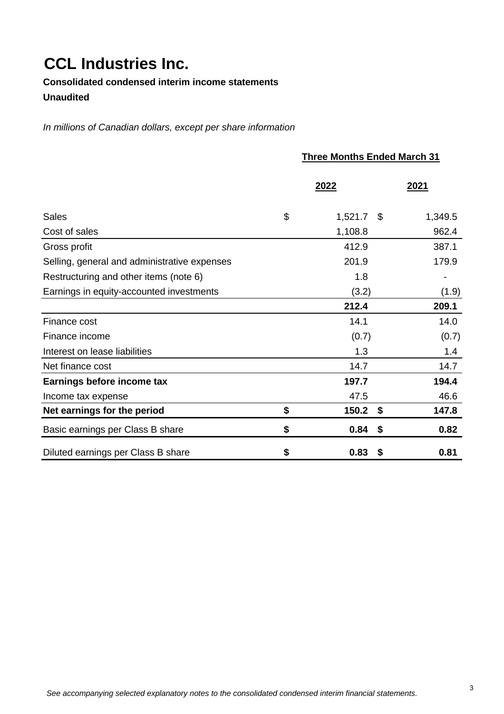**Consolidated condensed interim income statements Unaudited**

*In millions of Canadian dollars, except per share information*

|                                              | <b>Three Months Ended March 31</b> |         |  |  |  |  |  |  |
|----------------------------------------------|------------------------------------|---------|--|--|--|--|--|--|
|                                              | 2022                               | 2021    |  |  |  |  |  |  |
| <b>Sales</b>                                 | \$<br>1,521.7<br>- \$              | 1,349.5 |  |  |  |  |  |  |
| Cost of sales                                | 1,108.8                            | 962.4   |  |  |  |  |  |  |
| Gross profit                                 | 412.9                              | 387.1   |  |  |  |  |  |  |
| Selling, general and administrative expenses | 201.9                              | 179.9   |  |  |  |  |  |  |
| Restructuring and other items (note 6)       | 1.8                                |         |  |  |  |  |  |  |
| Earnings in equity-accounted investments     | (3.2)                              | (1.9)   |  |  |  |  |  |  |
|                                              | 212.4                              | 209.1   |  |  |  |  |  |  |
| Finance cost                                 | 14.1                               | 14.0    |  |  |  |  |  |  |
| Finance income                               | (0.7)                              | (0.7)   |  |  |  |  |  |  |
| Interest on lease liabilities                | 1.3                                | 1.4     |  |  |  |  |  |  |
| Net finance cost                             | 14.7                               | 14.7    |  |  |  |  |  |  |
| Earnings before income tax                   | 197.7                              | 194.4   |  |  |  |  |  |  |
| Income tax expense                           | 47.5                               | 46.6    |  |  |  |  |  |  |
| Net earnings for the period                  | \$<br>150.2<br>\$                  | 147.8   |  |  |  |  |  |  |
| Basic earnings per Class B share             | \$<br>0.84<br>\$                   | 0.82    |  |  |  |  |  |  |
| Diluted earnings per Class B share           | \$<br>0.83<br>\$                   | 0.81    |  |  |  |  |  |  |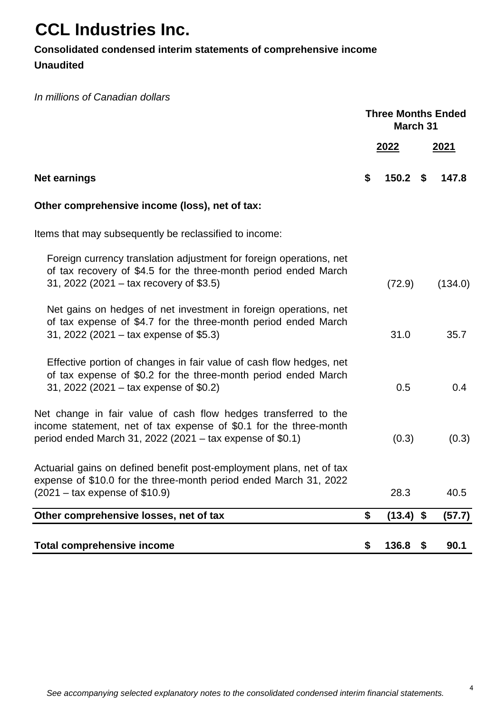## **Consolidated condensed interim statements of comprehensive income**

**Unaudited**

*In millions of Canadian dollars*

|                                                                                                                                                                                                   | <b>Three Months Ended</b><br>March 31 |             |
|---------------------------------------------------------------------------------------------------------------------------------------------------------------------------------------------------|---------------------------------------|-------------|
|                                                                                                                                                                                                   | 2022                                  | <u>2021</u> |
| <b>Net earnings</b>                                                                                                                                                                               | \$<br>$150.2$ \$                      | 147.8       |
| Other comprehensive income (loss), net of tax:                                                                                                                                                    |                                       |             |
| Items that may subsequently be reclassified to income:                                                                                                                                            |                                       |             |
| Foreign currency translation adjustment for foreign operations, net<br>of tax recovery of \$4.5 for the three-month period ended March<br>31, 2022 (2021 – tax recovery of $$3.5$ )               | (72.9)                                | (134.0)     |
| Net gains on hedges of net investment in foreign operations, net<br>of tax expense of \$4.7 for the three-month period ended March<br>31, 2022 (2021 – tax expense of \$5.3)                      | 31.0                                  | 35.7        |
| Effective portion of changes in fair value of cash flow hedges, net<br>of tax expense of \$0.2 for the three-month period ended March<br>31, 2022 (2021 – tax expense of $$0.2$ )                 | 0.5                                   | 0.4         |
| Net change in fair value of cash flow hedges transferred to the<br>income statement, net of tax expense of \$0.1 for the three-month<br>period ended March 31, 2022 (2021 - tax expense of \$0.1) | (0.3)                                 | (0.3)       |
| Actuarial gains on defined benefit post-employment plans, net of tax<br>expense of \$10.0 for the three-month period ended March 31, 2022<br>$(2021 - \text{tax expense of $10.9})$               | 28.3                                  | 40.5        |
| Other comprehensive losses, net of tax                                                                                                                                                            | \$<br>$(13.4)$ \$                     | (57.7)      |
| <b>Total comprehensive income</b>                                                                                                                                                                 | \$<br>136.8                           | \$<br>90.1  |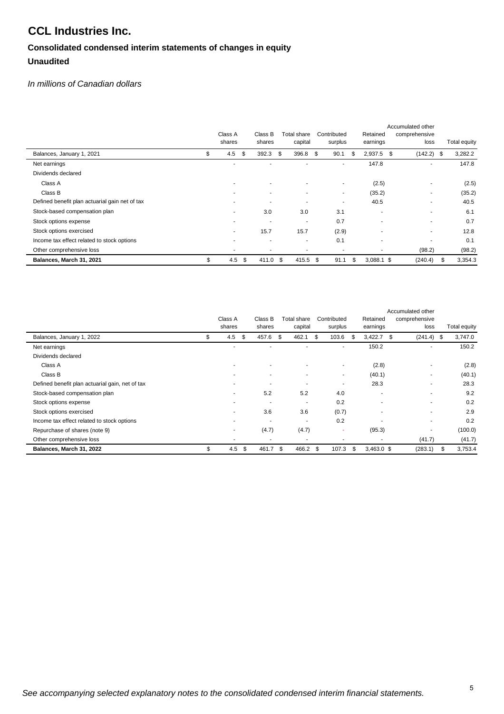## **Consolidated condensed interim statements of changes in equity Unaudited**

## *In millions of Canadian dollars*

|                                                | Class A<br>shares        | Class B<br>shares | Total share | capital                  | Contributed<br>surplus |    | Retained<br>earnings | Accumulated other<br>comprehensive<br>loss |   | Total equity |
|------------------------------------------------|--------------------------|-------------------|-------------|--------------------------|------------------------|----|----------------------|--------------------------------------------|---|--------------|
| Balances, January 1, 2021                      | \$<br>4.5                | 392.3<br>\$       | \$          | 396.8                    | \$<br>90.1             | S  | 2,937.5              | $(142.2)$ \$<br>\$                         |   | 3,282.2      |
| Net earnings                                   | ۰                        | -                 |             | ٠                        | ٠                      |    | 147.8                | ٠                                          |   | 147.8        |
| Dividends declared                             |                          |                   |             |                          |                        |    |                      |                                            |   |              |
| Class A                                        | ٠                        | ۰                 |             | ٠                        | ٠                      |    | (2.5)                |                                            |   | (2.5)        |
| Class B                                        | ۰                        | ۰                 |             | ٠                        | ٠                      |    | (35.2)               |                                            |   | (35.2)       |
| Defined benefit plan actuarial gain net of tax |                          | ٠                 |             | ٠                        | ٠                      |    | 40.5                 |                                            |   | 40.5         |
| Stock-based compensation plan                  | ۰                        | 3.0               |             | 3.0                      | 3.1                    |    |                      |                                            |   | 6.1          |
| Stock options expense                          | $\overline{\phantom{a}}$ | ٠                 |             | $\overline{\phantom{a}}$ | 0.7                    |    |                      |                                            |   | 0.7          |
| Stock options exercised                        | $\overline{\phantom{a}}$ | 15.7              |             | 15.7                     | (2.9)                  |    |                      |                                            |   | 12.8         |
| Income tax effect related to stock options     | ۰                        | ٠                 |             | ٠                        | 0.1                    |    | ۰.                   |                                            |   | 0.1          |
| Other comprehensive loss                       |                          | ۰                 |             |                          | ۰                      |    |                      | (98.2)                                     |   | (98.2)       |
| Balances, March 31, 2021                       | \$<br>4.5                | \$<br>411.0       | - \$        | 415.5 \$                 | 91.1                   | \$ | $3,088.1$ \$         | (240.4)                                    | S | 3,354.3      |

|                                                 | Class A<br>shares |      | Class B<br>shares        |     | Total share<br>capital   |    | Contributed<br>surplus |   | Retained<br>earnings | Accumulated other<br>comprehensive<br>loss | Total equity  |
|-------------------------------------------------|-------------------|------|--------------------------|-----|--------------------------|----|------------------------|---|----------------------|--------------------------------------------|---------------|
| Balances, January 1, 2022                       | \$<br>4.5         | - \$ | 457.6                    | \$  | 462.1                    | -S | 103.6                  | S | 3,422.7              | -S<br>$(241.4)$ \$                         | 3,747.0       |
| Net earnings                                    |                   |      |                          |     |                          |    |                        |   | 150.2                |                                            | 150.2         |
| Dividends declared                              |                   |      |                          |     |                          |    |                        |   |                      |                                            |               |
| Class A                                         |                   |      | $\overline{\phantom{a}}$ |     | $\overline{\phantom{a}}$ |    | ٠                      |   | (2.8)                |                                            | (2.8)         |
| Class B                                         |                   |      | ٠                        |     | $\blacksquare$           |    | ٠                      |   | (40.1)               | ٠                                          | (40.1)        |
| Defined benefit plan actuarial gain, net of tax | ٠                 |      | ٠                        |     | $\overline{\phantom{a}}$ |    | ٠                      |   | 28.3                 |                                            | 28.3          |
| Stock-based compensation plan                   | ۰                 |      | 5.2                      |     | 5.2                      |    | 4.0                    |   | ۰                    | ۰                                          | 9.2           |
| Stock options expense                           | ۰                 |      | ٠                        |     | $\overline{\phantom{a}}$ |    | 0.2                    |   | ۰                    |                                            | 0.2           |
| Stock options exercised                         | ۰                 |      | 3.6                      |     | 3.6                      |    | (0.7)                  |   | ۰                    |                                            | 2.9           |
| Income tax effect related to stock options      | ٠                 |      | ٠                        |     | $\overline{\phantom{a}}$ |    | 0.2                    |   |                      | ۰                                          | 0.2           |
| Repurchase of shares (note 9)                   | ۰                 |      | (4.7)                    |     | (4.7)                    |    | ۰                      |   | (95.3)               |                                            | (100.0)       |
| Other comprehensive loss                        | ۰                 |      |                          |     | $\overline{\phantom{a}}$ |    |                        |   | ۰                    | (41.7)                                     | (41.7)        |
| Balances, March 31, 2022                        | \$<br>4.5         | \$   | 461.7                    | -\$ | 466.2                    | S  | 107.3                  | S | $3,463.0$ \$         | (283.1)                                    | \$<br>3,753.4 |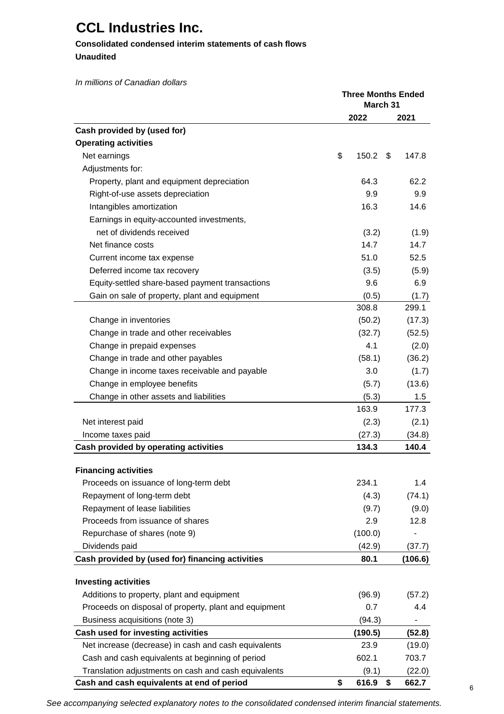## **Consolidated condensed interim statements of cash flows**

**Unaudited**

*In millions of Canadian dollars*

|                                                       | <b>Three Months Ended</b><br>March 31 |             |
|-------------------------------------------------------|---------------------------------------|-------------|
|                                                       | 2022                                  | 2021        |
| Cash provided by (used for)                           |                                       |             |
| <b>Operating activities</b>                           |                                       |             |
| Net earnings                                          | \$<br>150.2                           | \$<br>147.8 |
| Adjustments for:                                      |                                       |             |
| Property, plant and equipment depreciation            | 64.3                                  | 62.2        |
| Right-of-use assets depreciation                      | 9.9                                   | 9.9         |
| Intangibles amortization                              | 16.3                                  | 14.6        |
| Earnings in equity-accounted investments,             |                                       |             |
| net of dividends received                             | (3.2)                                 | (1.9)       |
| Net finance costs                                     | 14.7                                  | 14.7        |
| Current income tax expense                            | 51.0                                  | 52.5        |
| Deferred income tax recovery                          | (3.5)                                 | (5.9)       |
| Equity-settled share-based payment transactions       | 9.6                                   | 6.9         |
| Gain on sale of property, plant and equipment         | (0.5)                                 | (1.7)       |
|                                                       | 308.8                                 | 299.1       |
| Change in inventories                                 | (50.2)                                | (17.3)      |
| Change in trade and other receivables                 | (32.7)                                | (52.5)      |
| Change in prepaid expenses                            | 4.1                                   | (2.0)       |
| Change in trade and other payables                    | (58.1)                                | (36.2)      |
| Change in income taxes receivable and payable         | 3.0                                   | (1.7)       |
| Change in employee benefits                           | (5.7)                                 | (13.6)      |
| Change in other assets and liabilities                | (5.3)                                 | 1.5         |
|                                                       | 163.9                                 | 177.3       |
| Net interest paid                                     | (2.3)                                 | (2.1)       |
| Income taxes paid                                     | (27.3)                                | (34.8)      |
| Cash provided by operating activities                 | 134.3                                 | 140.4       |
| <b>Financing activities</b>                           |                                       |             |
| Proceeds on issuance of long-term debt                | 234.1                                 | 1.4         |
| Repayment of long-term debt                           | (4.3)                                 | (74.1)      |
| Repayment of lease liabilities                        | (9.7)                                 | (9.0)       |
| Proceeds from issuance of shares                      | 2.9                                   | 12.8        |
| Repurchase of shares (note 9)                         | (100.0)                               |             |
| Dividends paid                                        | (42.9)                                | (37.7)      |
| Cash provided by (used for) financing activities      | 80.1                                  | (106.6)     |
| <b>Investing activities</b>                           |                                       |             |
| Additions to property, plant and equipment            | (96.9)                                | (57.2)      |
| Proceeds on disposal of property, plant and equipment | 0.7                                   | 4.4         |
| Business acquisitions (note 3)                        | (94.3)                                |             |
| Cash used for investing activities                    | (190.5)                               | (52.8)      |
| Net increase (decrease) in cash and cash equivalents  | 23.9                                  | (19.0)      |
| Cash and cash equivalents at beginning of period      | 602.1                                 | 703.7       |
| Translation adjustments on cash and cash equivalents  | (9.1)                                 | (22.0)      |
| Cash and cash equivalents at end of period            | \$<br>616.9                           | \$<br>662.7 |

*See accompanying selected explanatory notes to the consolidated condensed interim financial statements.*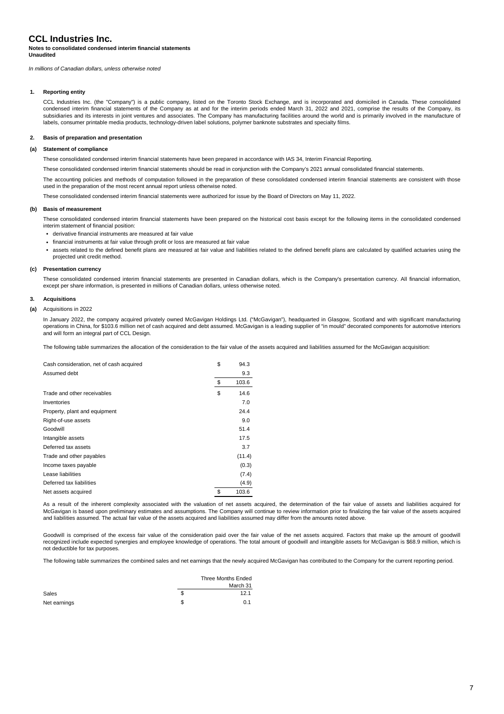### **Notes to consolidated condensed interim financial statements Unaudited**

*In millions of Canadian dollars, unless otherwise noted*

### **1. Reporting entity**

CCL Industries Inc. (the "Company") is a public company, listed on the Toronto Stock Exchange, and is incorporated and domiciled in Canada. These consolidated condensed interim financial statements of the Company as at and for the interim periods ended March 31, 2022 and 2021, comprise the results of the Company, its subsidiaries and its interests in joint ventures and associates. The Company has manufacturing facilities around the world and is primarily involved in the manufacture of labels, consumer printable media products, technology-driven label solutions, polymer banknote substrates and specialty films.

### **2. Basis of preparation and presentation**

### **(a) Statement of compliance**

These consolidated condensed interim financial statements have been prepared in accordance with IAS 34, Interim Financial Reporting.

These consolidated condensed interim financial statements should be read in conjunction with the Company's 2021 annual consolidated financial statements.

The accounting policies and methods of computation followed in the preparation of these consolidated condensed interim financial statements are consistent with those used in the preparation of the most recent annual report unless otherwise noted.

These consolidated condensed interim financial statements were authorized for issue by the Board of Directors on May 11, 2022.

### **(b) Basis of measurement**

These consolidated condensed interim financial statements have been prepared on the historical cost basis except for the following items in the consolidated condensed interim statement of financial position:

- **•** derivative financial instruments are measured at fair value
- **•** financial instruments at fair value through profit or loss are measured at fair value
- **•** assets related to the defined benefit plans are measured at fair value and liabilities related to the defined benefit plans are calculated by qualified actuaries using the projected unit credit method.

### **(c) Presentation currency**

These consolidated condensed interim financial statements are presented in Canadian dollars, which is the Company's presentation currency. All financial information, except per share information, is presented in millions of Canadian dollars, unless otherwise noted.

### **3. Acquisitions**

### **(a)** Acquisitions in 2022

In January 2022, the company acquired privately owned McGavigan Holdings Ltd. ("McGavigan"), headquarted in Glasgow, Scotland and with significant manufacturing operations in China, for \$103.6 million net of cash acquired and debt assumed. McGavigan is a leading supplier of "in mould" decorated components for automotive interiors and will form an integral part of CCL Design.

The following table summarizes the allocation of the consideration to the fair value of the assets acquired and liabilities assumed for the McGavigan acquisition:

| Cash consideration, net of cash acquired | \$<br>94.3  |
|------------------------------------------|-------------|
| Assumed debt                             | 9.3         |
|                                          | \$<br>103.6 |
| Trade and other receivables              | \$<br>14.6  |
| Inventories                              | 7.0         |
| Property, plant and equipment            | 24.4        |
| Right-of-use assets                      | 9.0         |
| Goodwill                                 | 51.4        |
| Intangible assets                        | 17.5        |
| Deferred tax assets                      | 3.7         |
| Trade and other payables                 | (11.4)      |
| Income taxes payable                     | (0.3)       |
| Lease liabilities                        | (7.4)       |
| Deferred tax liabilities                 | (4.9)       |
| Net assets acquired                      | \$<br>103.6 |

As a result of the inherent complexity associated with the valuation of net assets acquired, the determination of the fair value of assets and liabilities acquired for McGavigan is based upon preliminary estimates and assumptions. The Company will continue to review information prior to finalizing the fair value of the assets acquired and liabilities assumed. The actual fair value of the assets acquired and liabilities assumed may differ from the amounts noted above.

Goodwill is comprised of the excess fair value of the consideration paid over the fair value of the net assets acquired. Factors that make up the amount of goodwill recognized include expected synergies and employee knowledge of operations. The total amount of goodwill and intangible assets for McGavigan is \$68.9 million, which is not deductible for tax purposes.

The following table summarizes the combined sales and net earnings that the newly acquired McGavigan has contributed to the Company for the current reporting period.

|              |   | Three Months Ended |
|--------------|---|--------------------|
|              |   | March 31           |
| Sales        | S | 12.1               |
| Net earnings | S | 0.1                |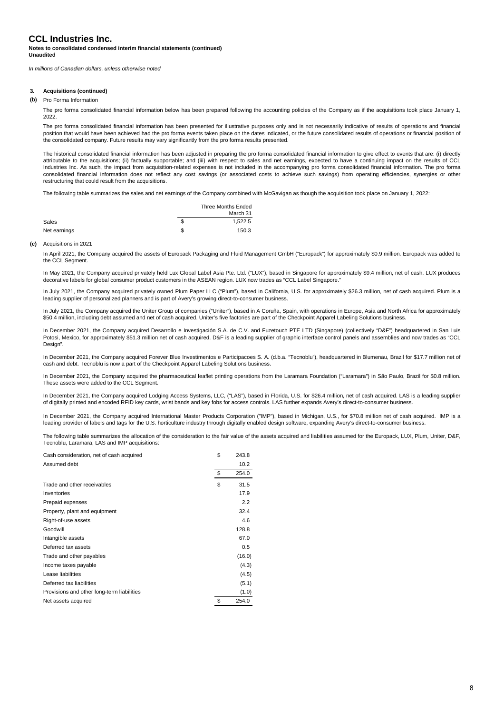### **Notes to consolidated condensed interim financial statements (continued) Unaudited**

*In millions of Canadian dollars, unless otherwise noted*

### **3. Acquisitions (continued)**

### **(b)** Pro Forma Information

The pro forma consolidated financial information below has been prepared following the accounting policies of the Company as if the acquisitions took place January 1, 2022.

The pro forma consolidated financial information has been presented for illustrative purposes only and is not necessarily indicative of results of operations and financial position that would have been achieved had the pro forma events taken place on the dates indicated, or the future consolidated results of operations or financial position of the consolidated company. Future results may vary significantly from the pro forma results presented.

The historical consolidated financial information has been adjusted in preparing the pro forma consolidated financial information to give effect to events that are: (i) directly attributable to the acquisitions; (ii) factually supportable; and (iii) with respect to sales and net earnings, expected to have a continuing impact on the results of CCL Industries Inc. As such, the impact from acquisition-related expenses is not included in the accompanying pro forma consolidated financial information. The pro forma consolidated financial information does not reflect any cost savings (or associated costs to achieve such savings) from operating efficiencies, synergies or other restructuring that could result from the acquisitions.

The following table summarizes the sales and net earnings of the Company combined with McGavigan as though the acquisition took place on January 1, 2022:

|              |   | Three Months Ended |
|--------------|---|--------------------|
|              |   | March 31           |
| Sales        | S | 1.522.5            |
| Net earnings | S | 150.3              |

### **(c)** Acquisitions in 2021

In April 2021, the Company acquired the assets of Europack Packaging and Fluid Management GmbH ("Europack") for approximately \$0.9 million. Europack was added to the CCL Segment.

In May 2021, the Company acquired privately held Lux Global Label Asia Pte. Ltd. ("LUX"), based in Singapore for approximately \$9.4 million, net of cash. LUX produces decorative labels for global consumer product customers in the ASEAN region. LUX now trades as "CCL Label Singapore."

In July 2021, the Company acquired privately owned Plum Paper LLC ("Plum"), based in California, U.S. for approximately \$26.3 million, net of cash acquired. Plum is a leading supplier of personalized planners and is part of Avery's growing direct-to-consumer business.

In July 2021, the Company acquired the Uniter Group of companies ("Uniter"), based in A Coruña, Spain, with operations in Europe, Asia and North Africa for approximately \$50.4 million, including debt assumed and net of cash acquired. Uniter's five factories are part of the Checkpoint Apparel Labeling Solutions business.

In December 2021, the Company acquired Desarrollo e Investigación S.A. de C.V. and Fuzetouch PTE LTD (Singapore) (collectively "D&F") headquartered in San Luis Potosi, Mexico, for approximately \$51.3 million net of cash acquired. D&F is a leading supplier of graphic interface control panels and assemblies and now trades as "CCL Design".

In December 2021, the Company acquired Forever Blue Investimentos e Participacoes S. A. (d.b.a. "Tecnoblu"), headquartered in Blumenau, Brazil for \$17.7 million net of cash and debt. Tecnoblu is now a part of the Checkpoint Apparel Labeling Solutions business.

In December 2021, the Company acquired the pharmaceutical leaflet printing operations from the Laramara Foundation ("Laramara") in São Paulo, Brazil for \$0.8 million. These assets were added to the CCL Segment.

In December 2021, the Company acquired Lodging Access Systems, LLC, ("LAS"), based in Florida, U.S. for \$26.4 million, net of cash acquired. LAS is a leading supplier of digitally printed and encoded RFID key cards, wrist bands and key fobs for access controls. LAS further expands Avery's direct-to-consumer business.

In December 2021, the Company acquired International Master Products Corporation ("IMP"), based in Michigan, U.S., for \$70.8 million net of cash acquired. IMP is a leading provider of labels and tags for the U.S. horticulture industry through digitally enabled design software, expanding Avery's direct-to-consumer business.

The following table summarizes the allocation of the consideration to the fair value of the assets acquired and liabilities assumed for the Europack, LUX, Plum, Uniter, D&F, Tecnoblu, Laramara, LAS and IMP acquisitions:

| Cash consideration, net of cash acquired   | \$<br>243.8 |
|--------------------------------------------|-------------|
| Assumed debt                               | 10.2        |
|                                            | \$<br>254.0 |
| Trade and other receivables                | \$<br>31.5  |
| Inventories                                | 17.9        |
| Prepaid expenses                           | 2.2         |
| Property, plant and equipment              | 32.4        |
| Right-of-use assets                        | 4.6         |
| Goodwill                                   | 128.8       |
| Intangible assets                          | 67.0        |
| Deferred tax assets                        | 0.5         |
| Trade and other payables                   | (16.0)      |
| Income taxes payable                       | (4.3)       |
| Lease liabilities                          | (4.5)       |
| Deferred tax liabilities                   | (5.1)       |
| Provisions and other long-term liabilities | (1.0)       |
| Net assets acquired                        | \$<br>254.0 |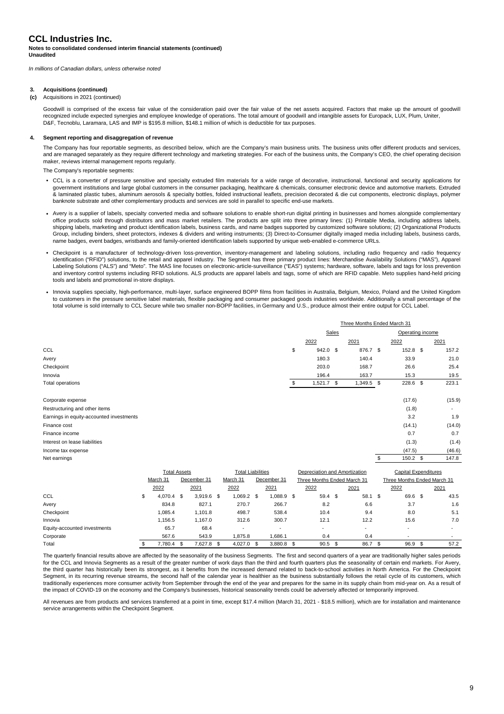### **Notes to consolidated condensed interim financial statements (continued) Unaudited**

*In millions of Canadian dollars, unless otherwise noted*

### **3. Acquisitions (continued)**

### **(c)** Acquisitions in 2021 (continued)

Goodwill is comprised of the excess fair value of the consideration paid over the fair value of the net assets acquired. Factors that make up the amount of goodwill recognized include expected synergies and employee knowledge of operations. The total amount of goodwill and intangible assets for Europack, LUX, Plum, Uniter, D&F, Tecnoblu, Laramara, LAS and IMP is \$195.8 million, \$148.1 million of which is deductible for tax purposes.

### **4. Segment reporting and disaggregation of revenue**

The Company has four reportable segments, as described below, which are the Company's main business units. The business units offer different products and services, and are managed separately as they require different technology and marketing strategies. For each of the business units, the Company's CEO, the chief operating decision maker, reviews internal management reports regularly.

The Company's reportable segments:

- **•** CCL is a converter of pressure sensitive and specialty extruded film materials for a wide range of decorative, instructional, functional and security applications for government institutions and large global customers in the consumer packaging, healthcare & chemicals, consumer electronic device and automotive markets. Extruded & laminated plastic tubes, aluminum aerosols & specialty bottles, folded instructional leaflets, precision decorated & die cut components, electronic displays, polymer banknote substrate and other complementary products and services are sold in parallel to specific end-use markets.
- **•** Avery is a supplier of labels, specialty converted media and software solutions to enable short-run digital printing in businesses and homes alongside complementary office products sold through distributors and mass market retailers. The products are split into three primary lines: (1) Printable Media, including address labels, shipping labels, marketing and product identification labels, business cards, and name badges supported by customized software solutions; (2) Organizational Products Group, including binders, sheet protectors, indexes & dividers and writing instruments; (3) Direct-to-Consumer digitally imaged media including labels, business cards, name badges, event badges, wristbands and family-oriented identification labels supported by unique web-enabled e-commerce URLs.
- **•** Checkpoint is a manufacturer of technology-driven loss-prevention, inventory-management and labeling solutions, including radio frequency and radio frequency identification ("RFID") solutions, to the retail and apparel industry. The Segment has three primary product lines: Merchandise Availability Solutions ("MAS"), Apparel Labeling Solutions ("ALS") and "Meto". The MAS line focuses on electronic-article-surveillance ("EAS") systems; hardware, software, labels and tags for loss prevention and inventory control systems including RFID solutions. ALS products are apparel labels and tags, some of which are RFID capable. Meto supplies hand-held pricing tools and labels and promotional in-store displays.
- **•** Innovia supplies specialty, high-performance, multi-layer, surface engineered BOPP films from facilities in Australia, Belgium, Mexico, Poland and the United Kingdom to customers in the pressure sensitive label materials, flexible packaging and consumer packaged goods industries worldwide. Additionally a small percentage of the total volume is sold internally to CCL Secure while two smaller non-BOPP facilities, in Germany and U.S., produce almost their entire output for CCL Label.

|                                          |                     |              |                          |                          | Three Months Ended March 31 |                               |       |                          |    |                             |  |                |
|------------------------------------------|---------------------|--------------|--------------------------|--------------------------|-----------------------------|-------------------------------|-------|--------------------------|----|-----------------------------|--|----------------|
|                                          |                     |              |                          |                          |                             |                               | Sales |                          |    | Operating income            |  |                |
|                                          |                     |              |                          |                          |                             | 2022                          |       | 2021                     |    | 2022                        |  | 2021           |
| CCL                                      |                     |              |                          |                          | \$                          | 942.0                         | \$    | 876.7 \$                 |    | $152.8$ \$                  |  | 157.2          |
| Avery                                    |                     |              |                          |                          |                             | 180.3                         |       | 140.4                    |    | 33.9                        |  | 21.0           |
| Checkpoint                               |                     |              |                          |                          |                             | 203.0                         |       | 168.7                    |    | 26.6                        |  | 25.4           |
| Innovia                                  |                     |              |                          |                          |                             | 196.4                         |       | 163.7                    |    | 15.3                        |  | 19.5           |
| Total operations                         |                     |              |                          |                          | \$                          | $1,521.7$ \$                  |       | 1,349.5                  | \$ | 228.6 \$                    |  | 223.1          |
| Corporate expense                        |                     |              |                          |                          |                             |                               |       |                          |    | (17.6)                      |  | (15.9)         |
| Restructuring and other items            |                     |              |                          |                          |                             |                               |       |                          |    | (1.8)                       |  |                |
| Earnings in equity-accounted investments |                     |              |                          |                          |                             |                               |       |                          |    | 3.2                         |  | 1.9            |
| Finance cost                             |                     |              |                          |                          |                             |                               |       |                          |    | (14.1)                      |  | (14.0)         |
| Finance income                           |                     |              |                          |                          |                             |                               |       |                          |    | 0.7                         |  | 0.7            |
| Interest on lease liabilities            |                     |              |                          |                          |                             |                               |       |                          |    | (1.3)                       |  | (1.4)          |
| Income tax expense                       |                     |              |                          |                          |                             |                               |       |                          |    | (47.5)                      |  | (46.6)         |
| Net earnings                             |                     |              |                          |                          |                             |                               |       |                          | \$ | 150.2 \$                    |  | 147.8          |
|                                          | <b>Total Assets</b> |              | <b>Total Liabilities</b> |                          |                             | Depreciation and Amortization |       |                          |    | <b>Capital Expenditures</b> |  |                |
|                                          | March 31            | December 31  | March 31                 | December 31              |                             | Three Months Ended March 31   |       |                          |    | Three Months Ended March 31 |  |                |
|                                          | 2022                | 2021         | 2022                     | 2021                     |                             | 2022                          |       | 2021                     |    | 2022                        |  | 2021           |
| CCL                                      | \$<br>4,070.4 \$    | $3,919.6$ \$ | 1,069.2                  | \$<br>1,088.9 \$         |                             | 59.4 \$                       |       | 58.1 \$                  |    | 69.6 \$                     |  | 43.5           |
| Avery                                    | 834.8               | 827.1        | 270.7                    | 266.7                    |                             | 8.2                           |       | 6.6                      |    | 3.7                         |  | 1.6            |
| Checkpoint                               | 1,085.4             | 1,101.8      | 498.7                    | 538.4                    |                             | 10.4                          |       | 9.4                      |    | 8.0                         |  | 5.1            |
| Innovia                                  | 1,156.5             | 1,167.0      | 312.6                    | 300.7                    |                             | 12.1                          |       | 12.2                     |    | 15.6                        |  | 7.0            |
| Equity-accounted investments             | 65.7                | 68.4         |                          | $\overline{\phantom{a}}$ |                             | $\overline{\phantom{a}}$      |       | $\overline{\phantom{a}}$ |    |                             |  | $\blacksquare$ |

The quarterly financial results above are affected by the seasonality of the business Segments. The first and second quarters of a year are traditionally higher sales periods for the CCL and Innovia Segments as a result of the greater number of work days than the third and fourth quarters plus the seasonality of certain end markets. For Avery, the third quarter has historically been its strongest, as it benefits from the increased demand related to back-to-school activities in North America. For the Checkpoint Segment, in its recurring revenue streams, the second half of the calendar year is healthier as the business substantially follows the retail cycle of its customers, which traditionally experiences more consumer activity from September through the end of the year and prepares for the same in its supply chain from mid-year on. As a result of the impact of COVID-19 on the economy and the Company's businesses, historical seasonality trends could be adversely affected or temporarily improved.

Corporate 567.6 543.9 1,875.8 1,686.1 0.4 0.4 - - Total \$ 7,780.4 \$ 7,627.8 \$ 4,027.0 \$ 3,880.8 \$ 90.5 \$ 86.7 \$ 96.9 \$ 57.2

All revenues are from products and services transferred at a point in time, except \$17.4 million (March 31, 2021 - \$18.5 million), which are for installation and maintenance service arrangements within the Checkpoint Segment.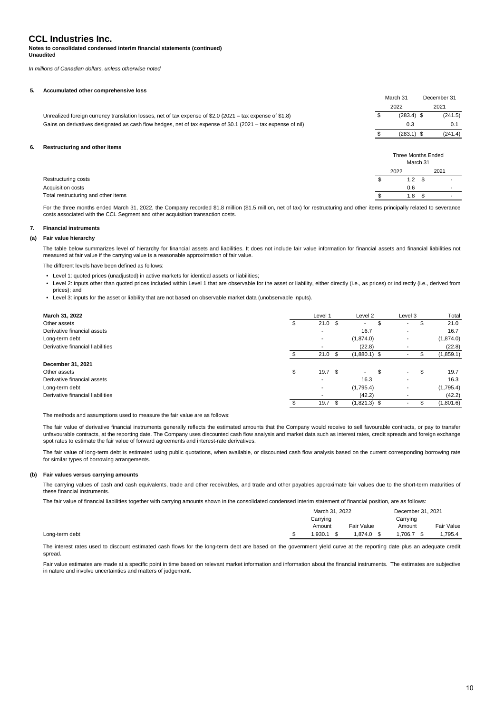**Notes to consolidated condensed interim financial statements (continued) Unaudited**

*In millions of Canadian dollars, unless otherwise noted*

### **5. Accumulated other comprehensive loss**

|    |                                                                                                              |   | March 31                       | December 31 |
|----|--------------------------------------------------------------------------------------------------------------|---|--------------------------------|-------------|
|    |                                                                                                              |   | 2022                           | 2021        |
|    | Unrealized foreign currency translation losses, net of tax expense of \$2.0 (2021 - tax expense of \$1.8)    | Φ | $(283.4)$ \$                   | (241.5)     |
|    | Gains on derivatives designated as cash flow hedges, net of tax expense of \$0.1 (2021 - tax expense of nil) |   | 0.3                            | 0.1         |
|    |                                                                                                              |   | $(283.1)$ \$                   | (241.4)     |
| 6. | Restructuring and other items                                                                                |   |                                |             |
|    |                                                                                                              |   | Three Months Ended<br>March 31 |             |
|    |                                                                                                              |   | 2022                           | 2021        |
|    | Restructuring costs                                                                                          |   | 1.2                            |             |

Acquisition costs and the contract of the contract of the contract of the contract of the contract of the contract of the contract of the contract of the contract of the contract of the contract of the contract of the cont Total restructuring and other items **by a contract of the set of the set of the set of the set of the set of the set of the set of the set of the set of the set of the set of the set of the set of the set of the set of the** 

For the three months ended March 31, 2022, the Company recorded \$1.8 million (\$1.5 million, net of tax) for restructuring and other items principally related to severance costs associated with the CCL Segment and other acquisition transaction costs.

### **7. Financial instruments**

### **(a) Fair value hierarchy**

The table below summarizes level of hierarchy for financial assets and liabilities. It does not include fair value information for financial assets and financial liabilities not measured at fair value if the carrying value is a reasonable approximation of fair value.

The different levels have been defined as follows:

- Level 1: quoted prices (unadjusted) in active markets for identical assets or liabilities;
- Level 2: inputs other than quoted prices included within Level 1 that are observable for the asset or liability, either directly (i.e., as prices) or indirectly (i.e., derived from prices); and
- Level 3: inputs for the asset or liability that are not based on observable market data (unobservable inputs).

| March 31, 2022                   | Level 1                 |     | Level 2        |   | Level 3                  |    | Total     |
|----------------------------------|-------------------------|-----|----------------|---|--------------------------|----|-----------|
| Other assets                     | $21.0$ \$               |     | ۰              |   | $\overline{\phantom{a}}$ | S  | 21.0      |
| Derivative financial assets      |                         |     | 16.7           |   | $\overline{\phantom{a}}$ |    | 16.7      |
| Long-term debt                   |                         |     | (1,874.0)      |   | ۰                        |    | (1,874.0) |
| Derivative financial liabilities |                         |     | (22.8)         |   | $\overline{\phantom{a}}$ |    | (22.8)    |
|                                  | 21.0                    | \$  | $(1,880.1)$ \$ |   |                          |    | (1,859.1) |
| December 31, 2021                |                         |     |                |   |                          |    |           |
| Other assets                     | \$<br>19.7 <sup>°</sup> |     | ٠              | S | ٠                        | \$ | 19.7      |
| Derivative financial assets      |                         |     | 16.3           |   | ٠                        |    | 16.3      |
| Long-term debt                   |                         |     | (1,795.4)      |   | ۰                        |    | (1,795.4) |
| Derivative financial liabilities |                         |     | (42.2)         |   | $\overline{\phantom{a}}$ |    | (42.2)    |
|                                  | 19.7                    | \$. | $(1,821.3)$ \$ |   | ۰                        |    | (1,801.6) |

The methods and assumptions used to measure the fair value are as follows:

The fair value of derivative financial instruments generally reflects the estimated amounts that the Company would receive to sell favourable contracts, or pay to transfer unfavourable contracts, at the reporting date. The Company uses discounted cash flow analysis and market data such as interest rates, credit spreads and foreign exchange spot rates to estimate the fair value of forward agreements and interest-rate derivatives.

The fair value of long-term debt is estimated using public quotations, when available, or discounted cash flow analysis based on the current corresponding borrowing rate for similar types of borrowing arrangements.

### **(b) Fair values versus carrying amounts**

The carrying values of cash and cash equivalents, trade and other receivables, and trade and other payables approximate fair values due to the short-term maturities of these financial instruments.

The fair value of financial liabilities together with carrying amounts shown in the consolidated condensed interim statement of financial position, are as follows:

|  | March 31, 2022     |            |                    | December 31, 2021 |  |  |
|--|--------------------|------------|--------------------|-------------------|--|--|
|  | Carrying<br>Amount | Fair Value | Carrying<br>Amount | Fair Value        |  |  |
|  | .930.1             | .874.0     | ,706.7             | ,795.4            |  |  |

The interest rates used to discount estimated cash flows for the long-term debt are based on the government yield curve at the reporting date plus an adequate credit spread.

Fair value estimates are made at a specific point in time based on relevant market information and information about the financial instruments. The estimates are subjective in nature and involve uncertainties and matters of judgement.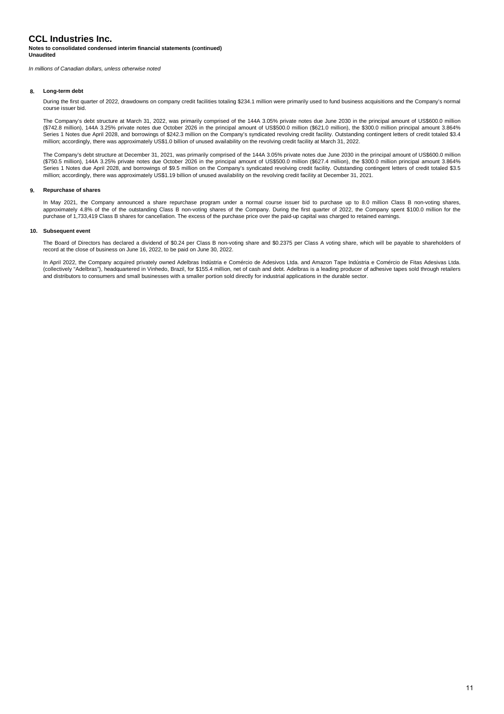### **Notes to consolidated condensed interim financial statements (continued) Unaudited**

*In millions of Canadian dollars, unless otherwise noted*

### **8. Long-term debt**

During the first quarter of 2022, drawdowns on company credit facilities totaling \$234.1 million were primarily used to fund business acquisitions and the Company's normal course issuer bid.

The Company's debt structure at March 31, 2022, was primarily comprised of the 144A 3.05% private notes due June 2030 in the principal amount of US\$600.0 million (\$742.8 million), 144A 3.25% private notes due October 2026 in the principal amount of US\$500.0 million (\$621.0 million), the \$300.0 million principal amount 3.864% Series 1 Notes due April 2028, and borrowings of \$242.3 million on the Company's syndicated revolving credit facility. Outstanding contingent letters of credit totaled \$3.4 million; accordingly, there was approximately US\$1.0 billion of unused availability on the revolving credit facility at March 31, 2022.

The Company's debt structure at December 31, 2021, was primarily comprised of the 144A 3.05% private notes due June 2030 in the principal amount of US\$600.0 million (\$750.5 million), 144A 3.25% private notes due October 2026 in the principal amount of US\$500.0 million (\$627.4 million), the \$300.0 million principal amount 3.864% Series 1 Notes due April 2028, and borrowings of \$9.5 million on the Company's syndicated revolving credit facility. Outstanding contingent letters of credit totaled \$3.5 million; accordingly, there was approximately US\$1.19 billion of unused availability on the revolving credit facility at December 31, 2021.

#### **9. Repurchase of shares**

In May 2021, the Company announced a share repurchase program under a normal course issuer bid to purchase up to 8.0 million Class B non-voting shares, approximately 4.8% of the of the outstanding Class B non-voting shares of the Company. During the first quarter of 2022, the Company spent \$100.0 million for the purchase of 1,733,419 Class B shares for cancellation. The excess of the purchase price over the paid-up capital was charged to retained earnings.

### **10. Subsequent event**

The Board of Directors has declared a dividend of \$0.24 per Class B non-voting share and \$0.2375 per Class A voting share, which will be payable to shareholders of record at the close of business on June 16, 2022, to be paid on June 30, 2022.

In April 2022, the Company acquired privately owned Adelbras Indústria e Comércio de Adesivos Ltda. and Amazon Tape Indústria e Comércio de Fitas Adesivas Ltda. (collectively "Adelbras"), headquartered in Vinhedo, Brazil, for \$155.4 million, net of cash and debt. Adelbras is a leading producer of adhesive tapes sold through retailers and distributors to consumers and small businesses with a smaller portion sold directly for industrial applications in the durable sector.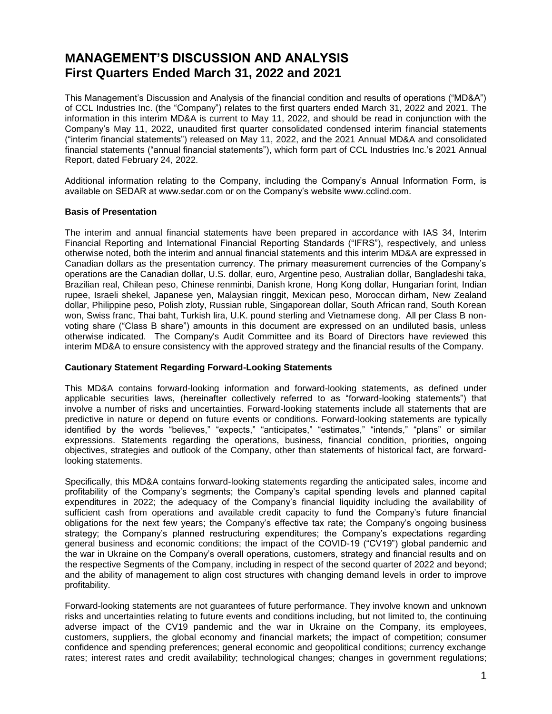## **MANAGEMENT'S DISCUSSION AND ANALYSIS First Quarters Ended March 31, 2022 and 2021**

This Management's Discussion and Analysis of the financial condition and results of operations ("MD&A") of CCL Industries Inc. (the "Company") relates to the first quarters ended March 31, 2022 and 2021. The information in this interim MD&A is current to May 11, 2022, and should be read in conjunction with the Company's May 11, 2022, unaudited first quarter consolidated condensed interim financial statements ("interim financial statements") released on May 11, 2022, and the 2021 Annual MD&A and consolidated financial statements ("annual financial statements"), which form part of CCL Industries Inc.'s 2021 Annual Report, dated February 24, 2022.

Additional information relating to the Company, including the Company's Annual Information Form, is available on SEDAR at www.sedar.com or on the Company's website www.cclind.com.

### **Basis of Presentation**

The interim and annual financial statements have been prepared in accordance with IAS 34, Interim Financial Reporting and International Financial Reporting Standards ("IFRS"), respectively, and unless otherwise noted, both the interim and annual financial statements and this interim MD&A are expressed in Canadian dollars as the presentation currency. The primary measurement currencies of the Company's operations are the Canadian dollar, U.S. dollar, euro, Argentine peso, Australian dollar, Bangladeshi taka, Brazilian real, Chilean peso, Chinese renminbi, Danish krone, Hong Kong dollar, Hungarian forint, Indian rupee, Israeli shekel, Japanese yen, Malaysian ringgit, Mexican peso, Moroccan dirham, New Zealand dollar, Philippine peso, Polish zloty, Russian ruble, Singaporean dollar, South African rand, South Korean won, Swiss franc, Thai baht, Turkish lira, U.K. pound sterling and Vietnamese dong. All per Class B nonvoting share ("Class B share") amounts in this document are expressed on an undiluted basis, unless otherwise indicated. The Company's Audit Committee and its Board of Directors have reviewed this interim MD&A to ensure consistency with the approved strategy and the financial results of the Company.

### **Cautionary Statement Regarding Forward-Looking Statements**

This MD&A contains forward-looking information and forward-looking statements, as defined under applicable securities laws, (hereinafter collectively referred to as "forward-looking statements") that involve a number of risks and uncertainties. Forward-looking statements include all statements that are predictive in nature or depend on future events or conditions. Forward-looking statements are typically identified by the words "believes," "expects," "anticipates," "estimates," "intends," "plans" or similar expressions. Statements regarding the operations, business, financial condition, priorities, ongoing objectives, strategies and outlook of the Company, other than statements of historical fact, are forwardlooking statements.

Specifically, this MD&A contains forward-looking statements regarding the anticipated sales, income and profitability of the Company's segments; the Company's capital spending levels and planned capital expenditures in 2022; the adequacy of the Company's financial liquidity including the availability of sufficient cash from operations and available credit capacity to fund the Company's future financial obligations for the next few years; the Company's effective tax rate; the Company's ongoing business strategy; the Company's planned restructuring expenditures; the Company's expectations regarding general business and economic conditions; the impact of the COVID-19 ("CV19") global pandemic and the war in Ukraine on the Company's overall operations, customers, strategy and financial results and on the respective Segments of the Company, including in respect of the second quarter of 2022 and beyond; and the ability of management to align cost structures with changing demand levels in order to improve profitability.

Forward-looking statements are not guarantees of future performance. They involve known and unknown risks and uncertainties relating to future events and conditions including, but not limited to, the continuing adverse impact of the CV19 pandemic and the war in Ukraine on the Company, its employees, customers, suppliers, the global economy and financial markets; the impact of competition; consumer confidence and spending preferences; general economic and geopolitical conditions; currency exchange rates; interest rates and credit availability; technological changes; changes in government regulations;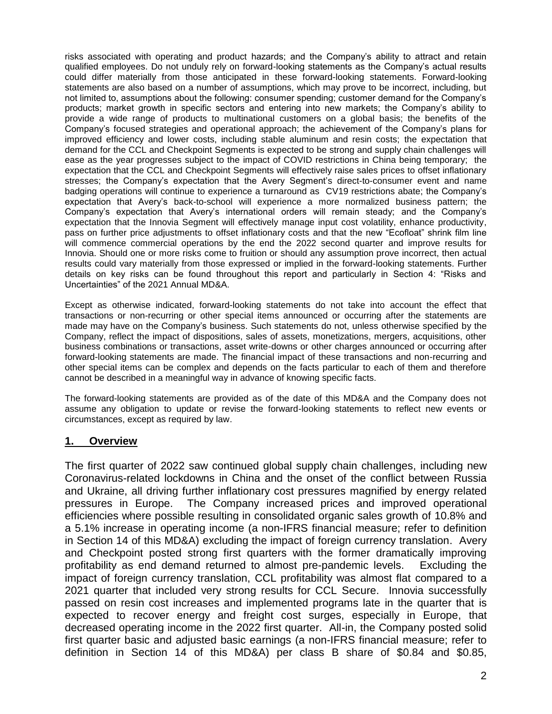risks associated with operating and product hazards; and the Company's ability to attract and retain qualified employees. Do not unduly rely on forward-looking statements as the Company's actual results could differ materially from those anticipated in these forward-looking statements. Forward-looking statements are also based on a number of assumptions, which may prove to be incorrect, including, but not limited to, assumptions about the following: consumer spending; customer demand for the Company's products; market growth in specific sectors and entering into new markets; the Company's ability to provide a wide range of products to multinational customers on a global basis; the benefits of the Company's focused strategies and operational approach; the achievement of the Company's plans for improved efficiency and lower costs, including stable aluminum and resin costs; the expectation that demand for the CCL and Checkpoint Segments is expected to be strong and supply chain challenges will ease as the year progresses subject to the impact of COVID restrictions in China being temporary; the expectation that the CCL and Checkpoint Segments will effectively raise sales prices to offset inflationary stresses; the Company's expectation that the Avery Segment's direct-to-consumer event and name badging operations will continue to experience a turnaround as CV19 restrictions abate; the Company's expectation that Avery's back-to-school will experience a more normalized business pattern; the Company's expectation that Avery's international orders will remain steady; and the Company's expectation that the Innovia Segment will effectively manage input cost volatility, enhance productivity, pass on further price adjustments to offset inflationary costs and that the new "Ecofloat" shrink film line will commence commercial operations by the end the 2022 second quarter and improve results for Innovia. Should one or more risks come to fruition or should any assumption prove incorrect, then actual results could vary materially from those expressed or implied in the forward-looking statements. Further details on key risks can be found throughout this report and particularly in Section 4: "Risks and Uncertainties" of the 2021 Annual MD&A.

Except as otherwise indicated, forward-looking statements do not take into account the effect that transactions or non-recurring or other special items announced or occurring after the statements are made may have on the Company's business. Such statements do not, unless otherwise specified by the Company, reflect the impact of dispositions, sales of assets, monetizations, mergers, acquisitions, other business combinations or transactions, asset write-downs or other charges announced or occurring after forward-looking statements are made. The financial impact of these transactions and non-recurring and other special items can be complex and depends on the facts particular to each of them and therefore cannot be described in a meaningful way in advance of knowing specific facts.

The forward-looking statements are provided as of the date of this MD&A and the Company does not assume any obligation to update or revise the forward-looking statements to reflect new events or circumstances, except as required by law.

## **1. Overview**

The first quarter of 2022 saw continued global supply chain challenges, including new Coronavirus-related lockdowns in China and the onset of the conflict between Russia and Ukraine, all driving further inflationary cost pressures magnified by energy related pressures in Europe. The Company increased prices and improved operational efficiencies where possible resulting in consolidated organic sales growth of 10.8% and a 5.1% increase in operating income (a non-IFRS financial measure; refer to definition in Section 14 of this MD&A) excluding the impact of foreign currency translation. Avery and Checkpoint posted strong first quarters with the former dramatically improving profitability as end demand returned to almost pre-pandemic levels. Excluding the impact of foreign currency translation, CCL profitability was almost flat compared to a 2021 quarter that included very strong results for CCL Secure. Innovia successfully passed on resin cost increases and implemented programs late in the quarter that is expected to recover energy and freight cost surges, especially in Europe, that decreased operating income in the 2022 first quarter. All-in, the Company posted solid first quarter basic and adjusted basic earnings (a non-IFRS financial measure; refer to definition in Section 14 of this MD&A) per class B share of \$0.84 and \$0.85,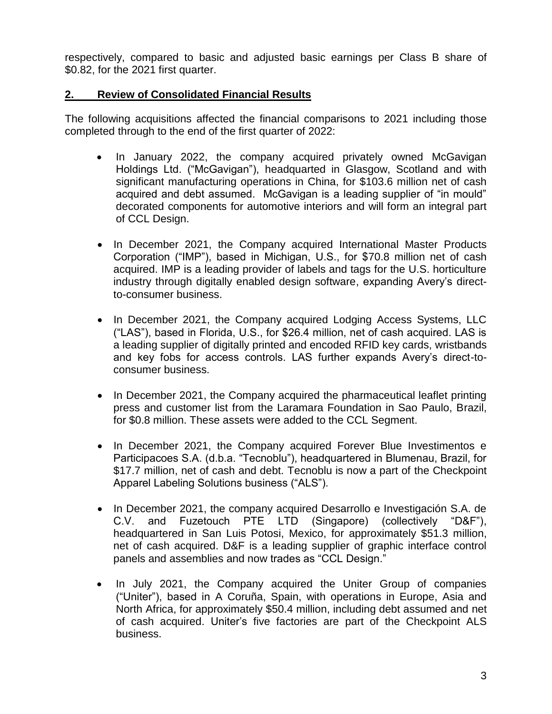respectively, compared to basic and adjusted basic earnings per Class B share of \$0.82, for the 2021 first quarter.

## **2. Review of Consolidated Financial Results**

The following acquisitions affected the financial comparisons to 2021 including those completed through to the end of the first quarter of 2022:

- In January 2022, the company acquired privately owned McGavigan Holdings Ltd. ("McGavigan"), headquarted in Glasgow, Scotland and with significant manufacturing operations in China, for \$103.6 million net of cash acquired and debt assumed. McGavigan is a leading supplier of "in mould" decorated components for automotive interiors and will form an integral part of CCL Design.
- In December 2021, the Company acquired International Master Products Corporation ("IMP"), based in Michigan, U.S., for \$70.8 million net of cash acquired. IMP is a leading provider of labels and tags for the U.S. horticulture industry through digitally enabled design software, expanding Avery's directto-consumer business.
- In December 2021, the Company acquired Lodging Access Systems, LLC ("LAS"), based in Florida, U.S., for \$26.4 million, net of cash acquired. LAS is a leading supplier of digitally printed and encoded RFID key cards, wristbands and key fobs for access controls. LAS further expands Avery's direct-toconsumer business.
- In December 2021, the Company acquired the pharmaceutical leaflet printing press and customer list from the Laramara Foundation in Sao Paulo, Brazil, for \$0.8 million. These assets were added to the CCL Segment.
- In December 2021, the Company acquired Forever Blue Investimentos e Participacoes S.A. (d.b.a. "Tecnoblu"), headquartered in Blumenau, Brazil, for \$17.7 million, net of cash and debt. Tecnoblu is now a part of the Checkpoint Apparel Labeling Solutions business ("ALS").
- In December 2021, the company acquired Desarrollo e Investigación S.A. de C.V. and Fuzetouch PTE LTD (Singapore) (collectively "D&F"), headquartered in San Luis Potosi, Mexico, for approximately \$51.3 million, net of cash acquired. D&F is a leading supplier of graphic interface control panels and assemblies and now trades as "CCL Design."
- In July 2021, the Company acquired the Uniter Group of companies ("Uniter"), based in A Coruña, Spain, with operations in Europe, Asia and North Africa, for approximately \$50.4 million, including debt assumed and net of cash acquired. Uniter's five factories are part of the Checkpoint ALS business.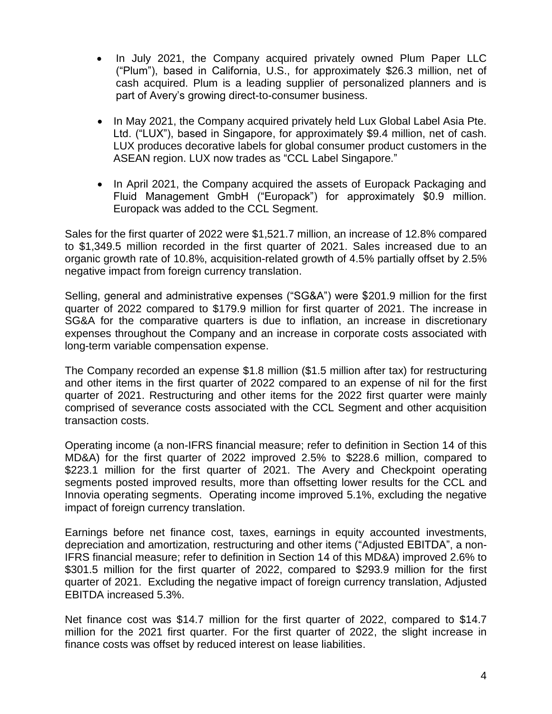- In July 2021, the Company acquired privately owned Plum Paper LLC ("Plum"), based in California, U.S., for approximately \$26.3 million, net of cash acquired. Plum is a leading supplier of personalized planners and is part of Avery's growing direct-to-consumer business.
- In May 2021, the Company acquired privately held Lux Global Label Asia Pte. Ltd. ("LUX"), based in Singapore, for approximately \$9.4 million, net of cash. LUX produces decorative labels for global consumer product customers in the ASEAN region. LUX now trades as "CCL Label Singapore."
- In April 2021, the Company acquired the assets of Europack Packaging and Fluid Management GmbH ("Europack") for approximately \$0.9 million. Europack was added to the CCL Segment.

Sales for the first quarter of 2022 were \$1,521.7 million, an increase of 12.8% compared to \$1,349.5 million recorded in the first quarter of 2021. Sales increased due to an organic growth rate of 10.8%, acquisition-related growth of 4.5% partially offset by 2.5% negative impact from foreign currency translation.

Selling, general and administrative expenses ("SG&A") were \$201.9 million for the first quarter of 2022 compared to \$179.9 million for first quarter of 2021. The increase in SG&A for the comparative quarters is due to inflation, an increase in discretionary expenses throughout the Company and an increase in corporate costs associated with long-term variable compensation expense.

The Company recorded an expense \$1.8 million (\$1.5 million after tax) for restructuring and other items in the first quarter of 2022 compared to an expense of nil for the first quarter of 2021. Restructuring and other items for the 2022 first quarter were mainly comprised of severance costs associated with the CCL Segment and other acquisition transaction costs.

Operating income (a non-IFRS financial measure; refer to definition in Section 14 of this MD&A) for the first quarter of 2022 improved 2.5% to \$228.6 million, compared to \$223.1 million for the first quarter of 2021. The Avery and Checkpoint operating segments posted improved results, more than offsetting lower results for the CCL and Innovia operating segments. Operating income improved 5.1%, excluding the negative impact of foreign currency translation.

Earnings before net finance cost, taxes, earnings in equity accounted investments, depreciation and amortization, restructuring and other items ("Adjusted EBITDA", a non-IFRS financial measure; refer to definition in Section 14 of this MD&A) improved 2.6% to \$301.5 million for the first quarter of 2022, compared to \$293.9 million for the first quarter of 2021. Excluding the negative impact of foreign currency translation, Adjusted EBITDA increased 5.3%.

Net finance cost was \$14.7 million for the first quarter of 2022, compared to \$14.7 million for the 2021 first quarter. For the first quarter of 2022, the slight increase in finance costs was offset by reduced interest on lease liabilities.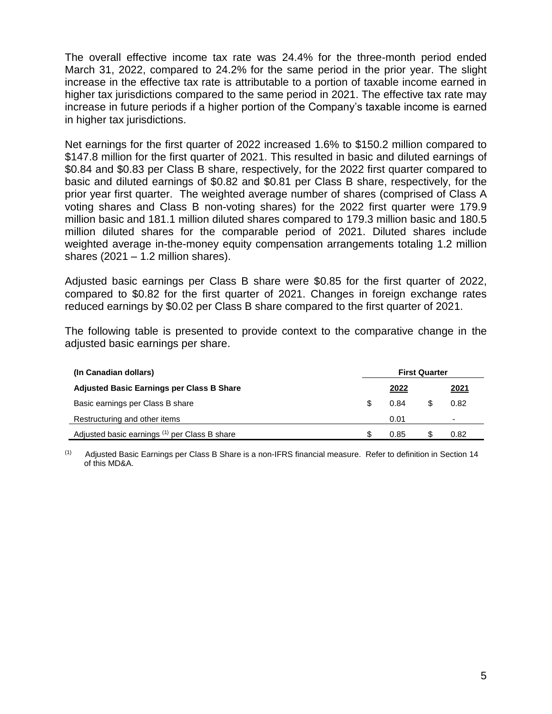The overall effective income tax rate was 24.4% for the three-month period ended March 31, 2022, compared to 24.2% for the same period in the prior year. The slight increase in the effective tax rate is attributable to a portion of taxable income earned in higher tax jurisdictions compared to the same period in 2021. The effective tax rate may increase in future periods if a higher portion of the Company's taxable income is earned in higher tax jurisdictions.

Net earnings for the first quarter of 2022 increased 1.6% to \$150.2 million compared to \$147.8 million for the first quarter of 2021. This resulted in basic and diluted earnings of \$0.84 and \$0.83 per Class B share, respectively, for the 2022 first quarter compared to basic and diluted earnings of \$0.82 and \$0.81 per Class B share, respectively, for the prior year first quarter. The weighted average number of shares (comprised of Class A voting shares and Class B non-voting shares) for the 2022 first quarter were 179.9 million basic and 181.1 million diluted shares compared to 179.3 million basic and 180.5 million diluted shares for the comparable period of 2021. Diluted shares include weighted average in-the-money equity compensation arrangements totaling 1.2 million shares  $(2021 - 1.2$  million shares).

Adjusted basic earnings per Class B share were \$0.85 for the first quarter of 2022, compared to \$0.82 for the first quarter of 2021. Changes in foreign exchange rates reduced earnings by \$0.02 per Class B share compared to the first quarter of 2021.

The following table is presented to provide context to the comparative change in the adjusted basic earnings per share.

| (In Canadian dollars)                            | <b>First Quarter</b> |               |      |
|--------------------------------------------------|----------------------|---------------|------|
| <b>Adjusted Basic Earnings per Class B Share</b> |                      | <u> 2022 </u> | 2021 |
| Basic earnings per Class B share                 |                      | 0.84          | 0.82 |
| Restructuring and other items                    |                      | 0.01          | -    |
| Adjusted basic earnings (1) per Class B share    |                      | 0.85          | 0.82 |

(1) Adjusted Basic Earnings per Class B Share is a non-IFRS financial measure. Refer to definition in Section 14 of this MD&A.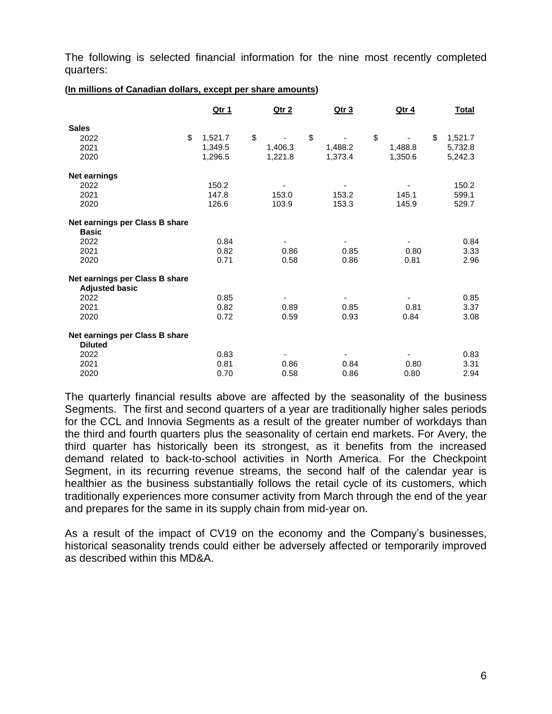The following is selected financial information for the nine most recently completed quarters:

|                                                         | <u>Qtr 1</u> | <u>Qtr 2</u>             | <u>Qtr 3</u>             | <u>Qtr 4</u> | <b>Total</b> |
|---------------------------------------------------------|--------------|--------------------------|--------------------------|--------------|--------------|
| <b>Sales</b>                                            |              |                          |                          |              |              |
| \$<br>2022                                              | 1,521.7      | \$                       | \$                       | \$<br>\$     | 1,521.7      |
| 2021                                                    | 1,349.5      | 1,406.3                  | 1,488.2                  | 1,488.8      | 5,732.8      |
| 2020                                                    | 1,296.5      | 1,221.8                  | 1,373.4                  | 1,350.6      | 5,242.3      |
| <b>Net earnings</b>                                     |              |                          |                          |              |              |
| 2022                                                    | 150.2        |                          |                          |              | 150.2        |
| 2021                                                    | 147.8        | 153.0                    | 153.2                    | 145.1        | 599.1        |
| 2020                                                    | 126.6        | 103.9                    | 153.3                    | 145.9        | 529.7        |
| Net earnings per Class B share                          |              |                          |                          |              |              |
| <b>Basic</b>                                            |              |                          |                          |              |              |
| 2022                                                    | 0.84         |                          | ۰                        | ۰            | 0.84         |
| 2021                                                    | 0.82         | 0.86                     | 0.85                     | 0.80         | 3.33         |
| 2020                                                    | 0.71         | 0.58                     | 0.86                     | 0.81         | 2.96         |
| Net earnings per Class B share<br><b>Adjusted basic</b> |              |                          |                          |              |              |
| 2022                                                    | 0.85         |                          |                          |              | 0.85         |
| 2021                                                    | 0.82         | 0.89                     | 0.85                     | 0.81         | 3.37         |
| 2020                                                    | 0.72         | 0.59                     | 0.93                     | 0.84         | 3.08         |
| Net earnings per Class B share                          |              |                          |                          |              |              |
| <b>Diluted</b>                                          |              |                          |                          |              |              |
| 2022                                                    | 0.83         | $\overline{\phantom{a}}$ | $\overline{\phantom{a}}$ |              | 0.83         |
| 2021                                                    | 0.81         | 0.86                     | 0.84                     | 0.80         | 3.31         |
| 2020                                                    | 0.70         | 0.58                     | 0.86                     | 0.80         | 2.94         |

The quarterly financial results above are affected by the seasonality of the business Segments. The first and second quarters of a year are traditionally higher sales periods for the CCL and Innovia Segments as a result of the greater number of workdays than the third and fourth quarters plus the seasonality of certain end markets. For Avery, the third quarter has historically been its strongest, as it benefits from the increased demand related to back-to-school activities in North America. For the Checkpoint Segment, in its recurring revenue streams, the second half of the calendar year is healthier as the business substantially follows the retail cycle of its customers, which traditionally experiences more consumer activity from March through the end of the year and prepares for the same in its supply chain from mid-year on.

As a result of the impact of CV19 on the economy and the Company's businesses, historical seasonality trends could either be adversely affected or temporarily improved as described within this MD&A.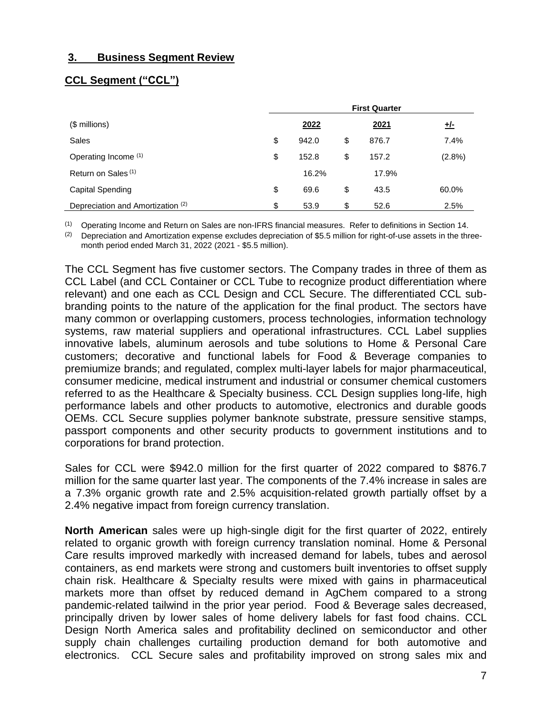## **3. Business Segment Review**

## **CCL Segment ("CCL")**

|                                   | <b>First Quarter</b> |       |    |       |            |  |  |  |
|-----------------------------------|----------------------|-------|----|-------|------------|--|--|--|
| $$$ millions)                     |                      | 2022  |    | 2021  | <u>+/-</u> |  |  |  |
| Sales                             | \$                   | 942.0 | \$ | 876.7 | 7.4%       |  |  |  |
| Operating Income (1)              | \$                   | 152.8 | \$ | 157.2 | (2.8%)     |  |  |  |
| Return on Sales <sup>(1)</sup>    |                      | 16.2% |    | 17.9% |            |  |  |  |
| Capital Spending                  | \$                   | 69.6  | \$ | 43.5  | 60.0%      |  |  |  |
| Depreciation and Amortization (2) | \$                   | 53.9  | \$ | 52.6  | 2.5%       |  |  |  |

(1) Operating Income and Return on Sales are non-IFRS financial measures. Refer to definitions in Section 14.

 $(2)$  Depreciation and Amortization expense excludes depreciation of \$5.5 million for right-of-use assets in the threemonth period ended March 31, 2022 (2021 - \$5.5 million).

The CCL Segment has five customer sectors. The Company trades in three of them as CCL Label (and CCL Container or CCL Tube to recognize product differentiation where relevant) and one each as CCL Design and CCL Secure. The differentiated CCL subbranding points to the nature of the application for the final product. The sectors have many common or overlapping customers, process technologies, information technology systems, raw material suppliers and operational infrastructures. CCL Label supplies innovative labels, aluminum aerosols and tube solutions to Home & Personal Care customers; decorative and functional labels for Food & Beverage companies to premiumize brands; and regulated, complex multi-layer labels for major pharmaceutical, consumer medicine, medical instrument and industrial or consumer chemical customers referred to as the Healthcare & Specialty business. CCL Design supplies long-life, high performance labels and other products to automotive, electronics and durable goods OEMs. CCL Secure supplies polymer banknote substrate, pressure sensitive stamps, passport components and other security products to government institutions and to corporations for brand protection.

Sales for CCL were \$942.0 million for the first quarter of 2022 compared to \$876.7 million for the same quarter last year. The components of the 7.4% increase in sales are a 7.3% organic growth rate and 2.5% acquisition-related growth partially offset by a 2.4% negative impact from foreign currency translation.

**North American** sales were up high-single digit for the first quarter of 2022, entirely related to organic growth with foreign currency translation nominal. Home & Personal Care results improved markedly with increased demand for labels, tubes and aerosol containers, as end markets were strong and customers built inventories to offset supply chain risk. Healthcare & Specialty results were mixed with gains in pharmaceutical markets more than offset by reduced demand in AgChem compared to a strong pandemic-related tailwind in the prior year period. Food & Beverage sales decreased, principally driven by lower sales of home delivery labels for fast food chains. CCL Design North America sales and profitability declined on semiconductor and other supply chain challenges curtailing production demand for both automotive and electronics. CCL Secure sales and profitability improved on strong sales mix and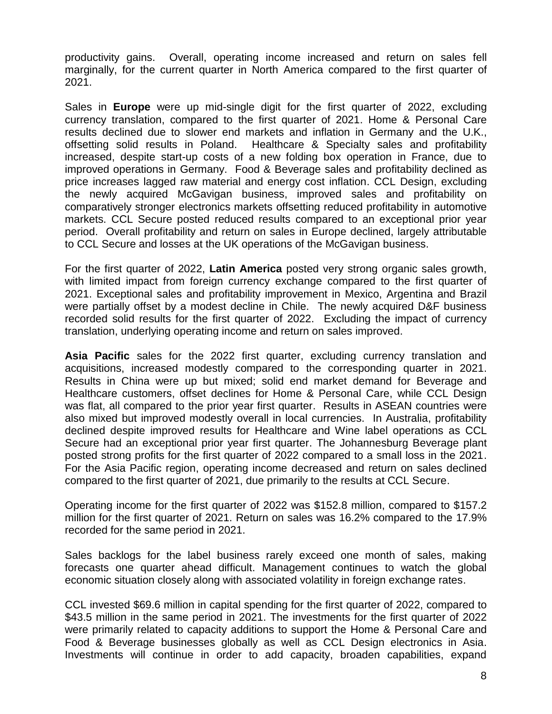productivity gains. Overall, operating income increased and return on sales fell marginally, for the current quarter in North America compared to the first quarter of 2021.

Sales in **Europe** were up mid-single digit for the first quarter of 2022, excluding currency translation, compared to the first quarter of 2021. Home & Personal Care results declined due to slower end markets and inflation in Germany and the U.K., offsetting solid results in Poland. Healthcare & Specialty sales and profitability increased, despite start-up costs of a new folding box operation in France, due to improved operations in Germany. Food & Beverage sales and profitability declined as price increases lagged raw material and energy cost inflation. CCL Design, excluding the newly acquired McGavigan business, improved sales and profitability on comparatively stronger electronics markets offsetting reduced profitability in automotive markets. CCL Secure posted reduced results compared to an exceptional prior year period. Overall profitability and return on sales in Europe declined, largely attributable to CCL Secure and losses at the UK operations of the McGavigan business.

For the first quarter of 2022, **Latin America** posted very strong organic sales growth, with limited impact from foreign currency exchange compared to the first quarter of 2021. Exceptional sales and profitability improvement in Mexico, Argentina and Brazil were partially offset by a modest decline in Chile. The newly acquired D&F business recorded solid results for the first quarter of 2022. Excluding the impact of currency translation, underlying operating income and return on sales improved.

**Asia Pacific** sales for the 2022 first quarter, excluding currency translation and acquisitions, increased modestly compared to the corresponding quarter in 2021. Results in China were up but mixed; solid end market demand for Beverage and Healthcare customers, offset declines for Home & Personal Care, while CCL Design was flat, all compared to the prior year first quarter. Results in ASEAN countries were also mixed but improved modestly overall in local currencies. In Australia, profitability declined despite improved results for Healthcare and Wine label operations as CCL Secure had an exceptional prior year first quarter. The Johannesburg Beverage plant posted strong profits for the first quarter of 2022 compared to a small loss in the 2021. For the Asia Pacific region, operating income decreased and return on sales declined compared to the first quarter of 2021, due primarily to the results at CCL Secure.

Operating income for the first quarter of 2022 was \$152.8 million, compared to \$157.2 million for the first quarter of 2021. Return on sales was 16.2% compared to the 17.9% recorded for the same period in 2021.

Sales backlogs for the label business rarely exceed one month of sales, making forecasts one quarter ahead difficult. Management continues to watch the global economic situation closely along with associated volatility in foreign exchange rates.

CCL invested \$69.6 million in capital spending for the first quarter of 2022, compared to \$43.5 million in the same period in 2021. The investments for the first quarter of 2022 were primarily related to capacity additions to support the Home & Personal Care and Food & Beverage businesses globally as well as CCL Design electronics in Asia. Investments will continue in order to add capacity, broaden capabilities, expand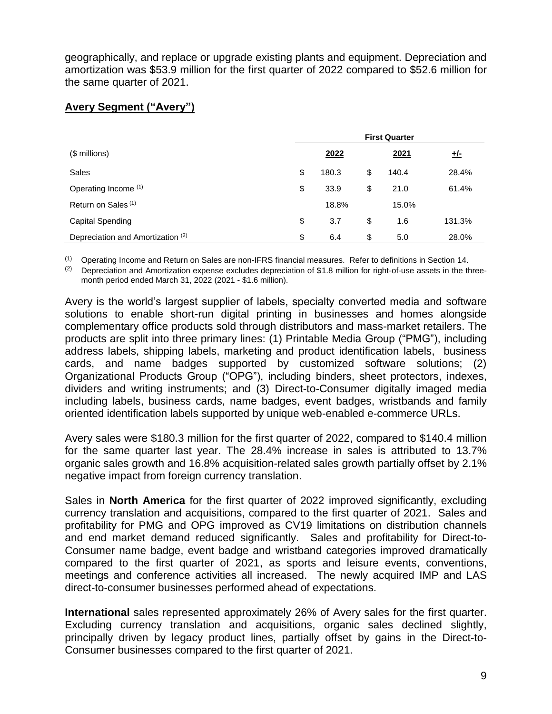geographically, and replace or upgrade existing plants and equipment. Depreciation and amortization was \$53.9 million for the first quarter of 2022 compared to \$52.6 million for the same quarter of 2021.

## **Avery Segment ("Avery")**

|                                              | <b>First Quarter</b> |       |    |       |            |  |  |
|----------------------------------------------|----------------------|-------|----|-------|------------|--|--|
| $$$ millions)                                |                      | 2022  |    | 2021  | <u>+/-</u> |  |  |
| Sales                                        | \$                   | 180.3 | \$ | 140.4 | 28.4%      |  |  |
| Operating Income (1)                         | \$                   | 33.9  | \$ | 21.0  | 61.4%      |  |  |
| Return on Sales <sup>(1)</sup>               |                      | 18.8% |    | 15.0% |            |  |  |
| <b>Capital Spending</b>                      | \$                   | 3.7   | \$ | 1.6   | 131.3%     |  |  |
| Depreciation and Amortization <sup>(2)</sup> | \$                   | 6.4   | \$ | 5.0   | 28.0%      |  |  |

(1) Operating Income and Return on Sales are non-IFRS financial measures. Refer to definitions in Section 14.

(2) Depreciation and Amortization expense excludes depreciation of \$1.8 million for right-of-use assets in the threemonth period ended March 31, 2022 (2021 - \$1.6 million).

Avery is the world's largest supplier of labels, specialty converted media and software solutions to enable short-run digital printing in businesses and homes alongside complementary office products sold through distributors and mass-market retailers. The products are split into three primary lines: (1) Printable Media Group ("PMG"), including address labels, shipping labels, marketing and product identification labels, business cards, and name badges supported by customized software solutions; (2) Organizational Products Group ("OPG"), including binders, sheet protectors, indexes, dividers and writing instruments; and (3) Direct-to-Consumer digitally imaged media including labels, business cards, name badges, event badges, wristbands and family oriented identification labels supported by unique web-enabled e-commerce URLs.

Avery sales were \$180.3 million for the first quarter of 2022, compared to \$140.4 million for the same quarter last year. The 28.4% increase in sales is attributed to 13.7% organic sales growth and 16.8% acquisition-related sales growth partially offset by 2.1% negative impact from foreign currency translation.

Sales in **North America** for the first quarter of 2022 improved significantly, excluding currency translation and acquisitions, compared to the first quarter of 2021. Sales and profitability for PMG and OPG improved as CV19 limitations on distribution channels and end market demand reduced significantly. Sales and profitability for Direct-to-Consumer name badge, event badge and wristband categories improved dramatically compared to the first quarter of 2021, as sports and leisure events, conventions, meetings and conference activities all increased. The newly acquired IMP and LAS direct-to-consumer businesses performed ahead of expectations.

**International** sales represented approximately 26% of Avery sales for the first quarter. Excluding currency translation and acquisitions, organic sales declined slightly, principally driven by legacy product lines, partially offset by gains in the Direct-to-Consumer businesses compared to the first quarter of 2021.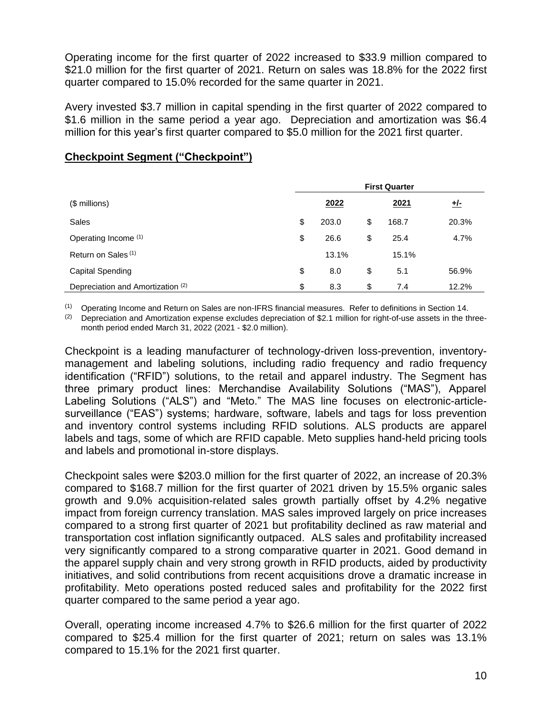Operating income for the first quarter of 2022 increased to \$33.9 million compared to \$21.0 million for the first quarter of 2021. Return on sales was 18.8% for the 2022 first quarter compared to 15.0% recorded for the same quarter in 2021.

Avery invested \$3.7 million in capital spending in the first quarter of 2022 compared to \$1.6 million in the same period a year ago. Depreciation and amortization was \$6.4 million for this year's first quarter compared to \$5.0 million for the 2021 first quarter.

|                                   | <b>First Quarter</b> |       |    |       |            |  |  |
|-----------------------------------|----------------------|-------|----|-------|------------|--|--|
| $$$ millions)                     |                      | 2022  |    | 2021  | <u>+/-</u> |  |  |
| Sales                             | \$                   | 203.0 | \$ | 168.7 | 20.3%      |  |  |
| Operating Income (1)              | \$                   | 26.6  | \$ | 25.4  | 4.7%       |  |  |
| Return on Sales <sup>(1)</sup>    |                      | 13.1% |    | 15.1% |            |  |  |
| Capital Spending                  | \$                   | 8.0   | \$ | 5.1   | 56.9%      |  |  |
| Depreciation and Amortization (2) | \$                   | 8.3   | \$ | 7.4   | 12.2%      |  |  |

## **Checkpoint Segment ("Checkpoint")**

(1) Operating Income and Return on Sales are non-IFRS financial measures. Refer to definitions in Section 14.

(2) Depreciation and Amortization expense excludes depreciation of \$2.1 million for right-of-use assets in the threemonth period ended March 31, 2022 (2021 - \$2.0 million).

Checkpoint is a leading manufacturer of technology-driven loss-prevention, inventorymanagement and labeling solutions, including radio frequency and radio frequency identification ("RFID") solutions, to the retail and apparel industry. The Segment has three primary product lines: Merchandise Availability Solutions ("MAS"), Apparel Labeling Solutions ("ALS") and "Meto." The MAS line focuses on electronic-articlesurveillance ("EAS") systems; hardware, software, labels and tags for loss prevention and inventory control systems including RFID solutions. ALS products are apparel labels and tags, some of which are RFID capable. Meto supplies hand-held pricing tools and labels and promotional in-store displays.

Checkpoint sales were \$203.0 million for the first quarter of 2022, an increase of 20.3% compared to \$168.7 million for the first quarter of 2021 driven by 15.5% organic sales growth and 9.0% acquisition-related sales growth partially offset by 4.2% negative impact from foreign currency translation. MAS sales improved largely on price increases compared to a strong first quarter of 2021 but profitability declined as raw material and transportation cost inflation significantly outpaced. ALS sales and profitability increased very significantly compared to a strong comparative quarter in 2021. Good demand in the apparel supply chain and very strong growth in RFID products, aided by productivity initiatives, and solid contributions from recent acquisitions drove a dramatic increase in profitability. Meto operations posted reduced sales and profitability for the 2022 first quarter compared to the same period a year ago.

Overall, operating income increased 4.7% to \$26.6 million for the first quarter of 2022 compared to \$25.4 million for the first quarter of 2021; return on sales was 13.1% compared to 15.1% for the 2021 first quarter.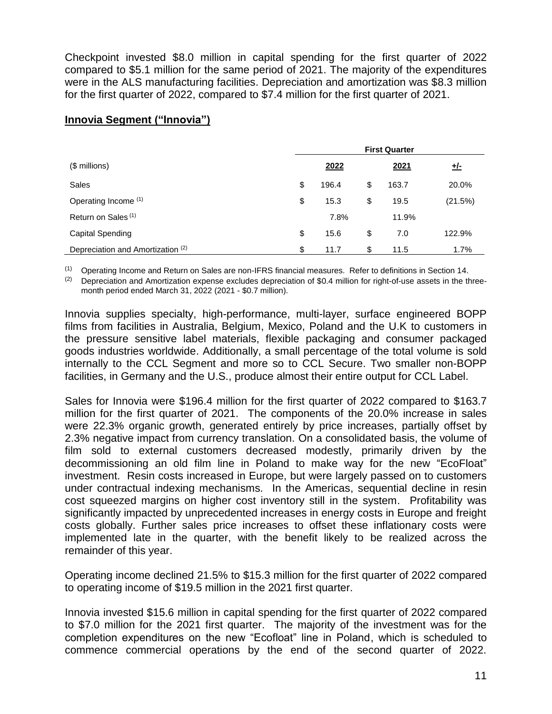Checkpoint invested \$8.0 million in capital spending for the first quarter of 2022 compared to \$5.1 million for the same period of 2021. The majority of the expenditures were in the ALS manufacturing facilities. Depreciation and amortization was \$8.3 million for the first quarter of 2022, compared to \$7.4 million for the first quarter of 2021.

## **Innovia Segment ("Innovia")**

| $$$ millions)                     |    | 2022  | 2021        | <u>+/-</u> |
|-----------------------------------|----|-------|-------------|------------|
| Sales                             | \$ | 196.4 | \$<br>163.7 | 20.0%      |
| Operating Income (1)              | \$ | 15.3  | \$<br>19.5  | (21.5%)    |
| Return on Sales <sup>(1)</sup>    |    | 7.8%  | 11.9%       |            |
| Capital Spending                  | \$ | 15.6  | \$<br>7.0   | 122.9%     |
| Depreciation and Amortization (2) | \$ | 11.7  | \$<br>11.5  | $1.7\%$    |

(1) Operating Income and Return on Sales are non-IFRS financial measures. Refer to definitions in Section 14.

(2) Depreciation and Amortization expense excludes depreciation of \$0.4 million for right-of-use assets in the threemonth period ended March 31, 2022 (2021 - \$0.7 million).

Innovia supplies specialty, high-performance, multi-layer, surface engineered BOPP films from facilities in Australia, Belgium, Mexico, Poland and the U.K to customers in the pressure sensitive label materials, flexible packaging and consumer packaged goods industries worldwide. Additionally, a small percentage of the total volume is sold internally to the CCL Segment and more so to CCL Secure. Two smaller non-BOPP facilities, in Germany and the U.S., produce almost their entire output for CCL Label.

Sales for Innovia were \$196.4 million for the first quarter of 2022 compared to \$163.7 million for the first quarter of 2021. The components of the 20.0% increase in sales were 22.3% organic growth, generated entirely by price increases, partially offset by 2.3% negative impact from currency translation. On a consolidated basis, the volume of film sold to external customers decreased modestly, primarily driven by the decommissioning an old film line in Poland to make way for the new "EcoFloat" investment. Resin costs increased in Europe, but were largely passed on to customers under contractual indexing mechanisms. In the Americas, sequential decline in resin cost squeezed margins on higher cost inventory still in the system. Profitability was significantly impacted by unprecedented increases in energy costs in Europe and freight costs globally. Further sales price increases to offset these inflationary costs were implemented late in the quarter, with the benefit likely to be realized across the remainder of this year.

Operating income declined 21.5% to \$15.3 million for the first quarter of 2022 compared to operating income of \$19.5 million in the 2021 first quarter.

Innovia invested \$15.6 million in capital spending for the first quarter of 2022 compared to \$7.0 million for the 2021 first quarter. The majority of the investment was for the completion expenditures on the new "Ecofloat" line in Poland, which is scheduled to commence commercial operations by the end of the second quarter of 2022.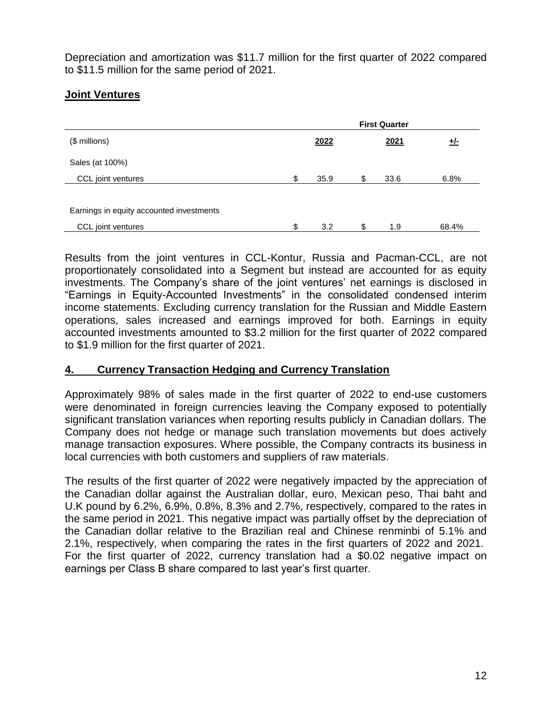Depreciation and amortization was \$11.7 million for the first quarter of 2022 compared to \$11.5 million for the same period of 2021.

## **Joint Ventures**

|                                          | <b>First Quarter</b> |            |    |      |       |  |
|------------------------------------------|----------------------|------------|----|------|-------|--|
| (\$ millions)                            |                      | <u>+/-</u> |    |      |       |  |
| Sales (at 100%)                          |                      |            |    |      |       |  |
| CCL joint ventures                       | \$                   | 35.9       | \$ | 33.6 | 6.8%  |  |
| Earnings in equity accounted investments |                      |            |    |      |       |  |
| CCL joint ventures                       | \$                   | 3.2        | \$ | 1.9  | 68.4% |  |

Results from the joint ventures in CCL-Kontur, Russia and Pacman-CCL, are not proportionately consolidated into a Segment but instead are accounted for as equity investments. The Company's share of the joint ventures' net earnings is disclosed in "Earnings in Equity-Accounted Investments" in the consolidated condensed interim income statements. Excluding currency translation for the Russian and Middle Eastern operations, sales increased and earnings improved for both. Earnings in equity accounted investments amounted to \$3.2 million for the first quarter of 2022 compared to \$1.9 million for the first quarter of 2021.

## **4. Currency Transaction Hedging and Currency Translation**

Approximately 98% of sales made in the first quarter of 2022 to end-use customers were denominated in foreign currencies leaving the Company exposed to potentially significant translation variances when reporting results publicly in Canadian dollars. The Company does not hedge or manage such translation movements but does actively manage transaction exposures. Where possible, the Company contracts its business in local currencies with both customers and suppliers of raw materials.

The results of the first quarter of 2022 were negatively impacted by the appreciation of the Canadian dollar against the Australian dollar, euro, Mexican peso, Thai baht and U.K pound by 6.2%, 6.9%, 0.8%, 8.3% and 2.7%, respectively, compared to the rates in the same period in 2021. This negative impact was partially offset by the depreciation of the Canadian dollar relative to the Brazilian real and Chinese renminbi of 5.1% and 2.1%, respectively, when comparing the rates in the first quarters of 2022 and 2021. For the first quarter of 2022, currency translation had a \$0.02 negative impact on earnings per Class B share compared to last year's first quarter.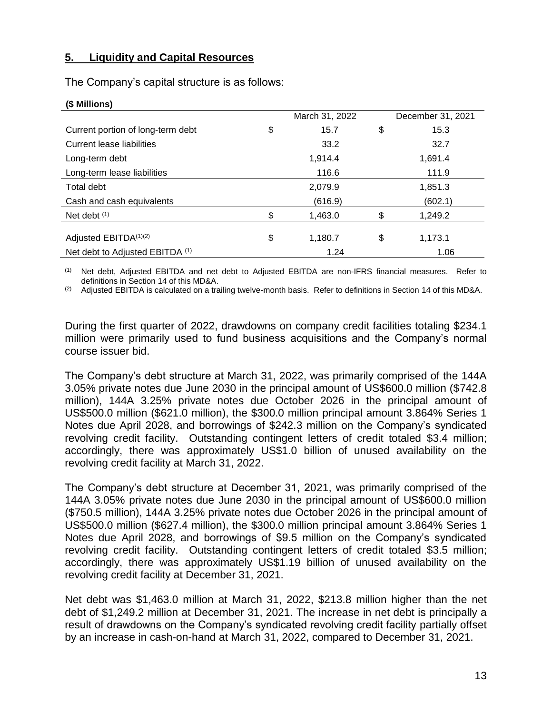## **5. Liquidity and Capital Resources**

The Company's capital structure is as follows:

| $\mathbf{v}$ $\mathbf{v}$ $\mathbf{v}$ $\mathbf{v}$ $\mathbf{v}$ |                |                   |
|------------------------------------------------------------------|----------------|-------------------|
|                                                                  | March 31, 2022 | December 31, 2021 |
| \$<br>Current portion of long-term debt                          | \$<br>15.7     | 15.3              |
| Current lease liabilities                                        | 33.2           | 32.7              |
| Long-term debt                                                   | 1,914.4        | 1,691.4           |
| Long-term lease liabilities                                      | 116.6          | 111.9             |
| Total debt                                                       | 2,079.9        | 1,851.3           |
| Cash and cash equivalents                                        | (616.9)        | (602.1)           |
| \$<br>Net debt $(1)$                                             | \$<br>1,463.0  | 1,249.2           |
| Adjusted EBITDA(1)(2)<br>\$                                      | \$<br>1,180.7  | 1,173.1           |
| Net debt to Adjusted EBITDA (1)                                  | 1.24           | 1.06              |

## **(\$ Millions)**

(1) Net debt, Adjusted EBITDA and net debt to Adjusted EBITDA are non-IFRS financial measures. Refer to definitions in Section 14 of this MD&A.

 $(2)$  Adjusted EBITDA is calculated on a trailing twelve-month basis. Refer to definitions in Section 14 of this MD&A.

During the first quarter of 2022, drawdowns on company credit facilities totaling \$234.1 million were primarily used to fund business acquisitions and the Company's normal course issuer bid.

The Company's debt structure at March 31, 2022, was primarily comprised of the 144A 3.05% private notes due June 2030 in the principal amount of US\$600.0 million (\$742.8 million), 144A 3.25% private notes due October 2026 in the principal amount of US\$500.0 million (\$621.0 million), the \$300.0 million principal amount 3.864% Series 1 Notes due April 2028, and borrowings of \$242.3 million on the Company's syndicated revolving credit facility. Outstanding contingent letters of credit totaled \$3.4 million; accordingly, there was approximately US\$1.0 billion of unused availability on the revolving credit facility at March 31, 2022.

The Company's debt structure at December 31, 2021, was primarily comprised of the 144A 3.05% private notes due June 2030 in the principal amount of US\$600.0 million (\$750.5 million), 144A 3.25% private notes due October 2026 in the principal amount of US\$500.0 million (\$627.4 million), the \$300.0 million principal amount 3.864% Series 1 Notes due April 2028, and borrowings of \$9.5 million on the Company's syndicated revolving credit facility. Outstanding contingent letters of credit totaled \$3.5 million; accordingly, there was approximately US\$1.19 billion of unused availability on the revolving credit facility at December 31, 2021.

Net debt was \$1,463.0 million at March 31, 2022, \$213.8 million higher than the net debt of \$1,249.2 million at December 31, 2021. The increase in net debt is principally a result of drawdowns on the Company's syndicated revolving credit facility partially offset by an increase in cash-on-hand at March 31, 2022, compared to December 31, 2021.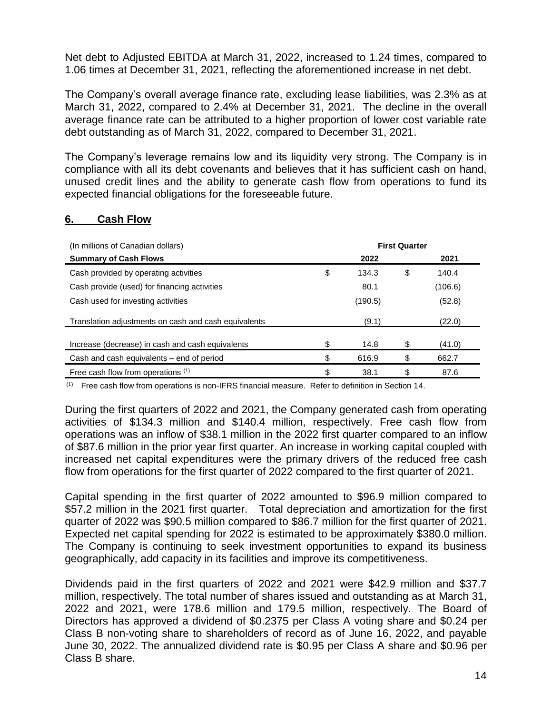Net debt to Adjusted EBITDA at March 31, 2022, increased to 1.24 times, compared to 1.06 times at December 31, 2021, reflecting the aforementioned increase in net debt.

The Company's overall average finance rate, excluding lease liabilities, was 2.3% as at March 31, 2022, compared to 2.4% at December 31, 2021. The decline in the overall average finance rate can be attributed to a higher proportion of lower cost variable rate debt outstanding as of March 31, 2022, compared to December 31, 2021.

The Company's leverage remains low and its liquidity very strong. The Company is in compliance with all its debt covenants and believes that it has sufficient cash on hand, unused credit lines and the ability to generate cash flow from operations to fund its expected financial obligations for the foreseeable future.

## **6. Cash Flow**

| (In millions of Canadian dollars)                    | <b>First Quarter</b> |         |    |         |
|------------------------------------------------------|----------------------|---------|----|---------|
| <b>Summary of Cash Flows</b>                         |                      | 2022    |    | 2021    |
| Cash provided by operating activities                | \$                   | 134.3   | \$ | 140.4   |
| Cash provide (used) for financing activities         |                      | 80.1    |    | (106.6) |
| Cash used for investing activities                   |                      | (190.5) |    | (52.8)  |
| Translation adjustments on cash and cash equivalents |                      | (9.1)   |    | (22.0)  |
| Increase (decrease) in cash and cash equivalents     | \$                   | 14.8    | \$ | (41.0)  |
| Cash and cash equivalents – end of period            | \$                   | 616.9   | \$ | 662.7   |
| Free cash flow from operations (1)                   | \$                   | 38.1    | \$ | 87.6    |

(1) Free cash flow from operations is non-IFRS financial measure. Refer to definition in Section 14.

During the first quarters of 2022 and 2021, the Company generated cash from operating activities of \$134.3 million and \$140.4 million, respectively. Free cash flow from operations was an inflow of \$38.1 million in the 2022 first quarter compared to an inflow of \$87.6 million in the prior year first quarter. An increase in working capital coupled with increased net capital expenditures were the primary drivers of the reduced free cash flow from operations for the first quarter of 2022 compared to the first quarter of 2021.

Capital spending in the first quarter of 2022 amounted to \$96.9 million compared to \$57.2 million in the 2021 first quarter. Total depreciation and amortization for the first quarter of 2022 was \$90.5 million compared to \$86.7 million for the first quarter of 2021. Expected net capital spending for 2022 is estimated to be approximately \$380.0 million. The Company is continuing to seek investment opportunities to expand its business geographically, add capacity in its facilities and improve its competitiveness.

Dividends paid in the first quarters of 2022 and 2021 were \$42.9 million and \$37.7 million, respectively. The total number of shares issued and outstanding as at March 31, 2022 and 2021, were 178.6 million and 179.5 million, respectively. The Board of Directors has approved a dividend of \$0.2375 per Class A voting share and \$0.24 per Class B non-voting share to shareholders of record as of June 16, 2022, and payable June 30, 2022. The annualized dividend rate is \$0.95 per Class A share and \$0.96 per Class B share.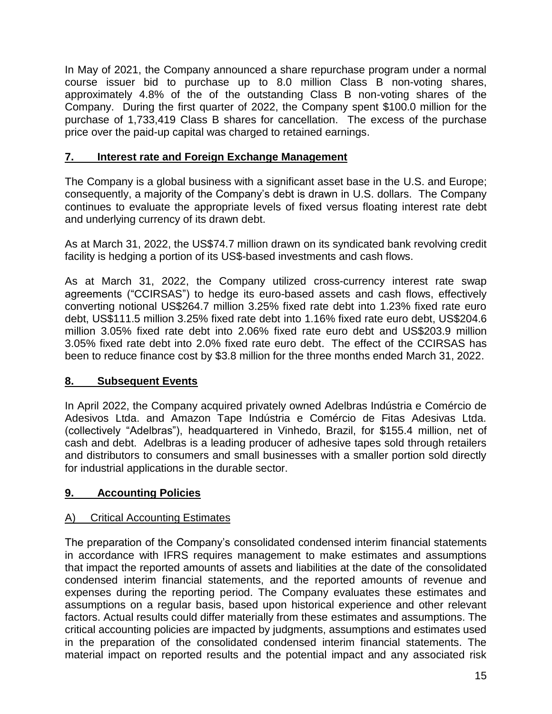In May of 2021, the Company announced a share repurchase program under a normal course issuer bid to purchase up to 8.0 million Class B non-voting shares, approximately 4.8% of the of the outstanding Class B non-voting shares of the Company. During the first quarter of 2022, the Company spent \$100.0 million for the purchase of 1,733,419 Class B shares for cancellation. The excess of the purchase price over the paid-up capital was charged to retained earnings.

## **7. Interest rate and Foreign Exchange Management**

The Company is a global business with a significant asset base in the U.S. and Europe; consequently, a majority of the Company's debt is drawn in U.S. dollars. The Company continues to evaluate the appropriate levels of fixed versus floating interest rate debt and underlying currency of its drawn debt.

As at March 31, 2022, the US\$74.7 million drawn on its syndicated bank revolving credit facility is hedging a portion of its US\$-based investments and cash flows.

As at March 31, 2022, the Company utilized cross-currency interest rate swap agreements ("CCIRSAS") to hedge its euro-based assets and cash flows, effectively converting notional US\$264.7 million 3.25% fixed rate debt into 1.23% fixed rate euro debt, US\$111.5 million 3.25% fixed rate debt into 1.16% fixed rate euro debt, US\$204.6 million 3.05% fixed rate debt into 2.06% fixed rate euro debt and US\$203.9 million 3.05% fixed rate debt into 2.0% fixed rate euro debt. The effect of the CCIRSAS has been to reduce finance cost by \$3.8 million for the three months ended March 31, 2022.

## **8. Subsequent Events**

In April 2022, the Company acquired privately owned Adelbras Indústria e Comércio de Adesivos Ltda. and Amazon Tape Indústria e Comércio de Fitas Adesivas Ltda. (collectively "Adelbras"), headquartered in Vinhedo, Brazil, for \$155.4 million, net of cash and debt. Adelbras is a leading producer of adhesive tapes sold through retailers and distributors to consumers and small businesses with a smaller portion sold directly for industrial applications in the durable sector.

## **9. Accounting Policies**

## A) Critical Accounting Estimates

The preparation of the Company's consolidated condensed interim financial statements in accordance with IFRS requires management to make estimates and assumptions that impact the reported amounts of assets and liabilities at the date of the consolidated condensed interim financial statements, and the reported amounts of revenue and expenses during the reporting period. The Company evaluates these estimates and assumptions on a regular basis, based upon historical experience and other relevant factors. Actual results could differ materially from these estimates and assumptions. The critical accounting policies are impacted by judgments, assumptions and estimates used in the preparation of the consolidated condensed interim financial statements. The material impact on reported results and the potential impact and any associated risk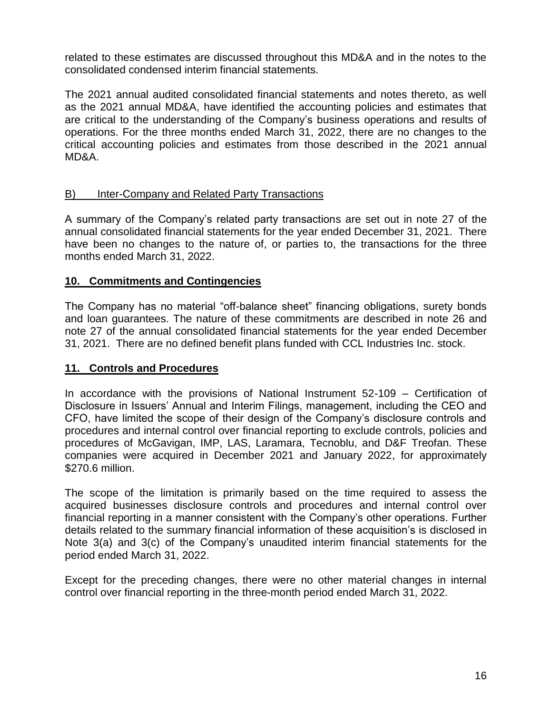related to these estimates are discussed throughout this MD&A and in the notes to the consolidated condensed interim financial statements.

The 2021 annual audited consolidated financial statements and notes thereto, as well as the 2021 annual MD&A, have identified the accounting policies and estimates that are critical to the understanding of the Company's business operations and results of operations. For the three months ended March 31, 2022, there are no changes to the critical accounting policies and estimates from those described in the 2021 annual MD&A.

## B) Inter-Company and Related Party Transactions

A summary of the Company's related party transactions are set out in note 27 of the annual consolidated financial statements for the year ended December 31, 2021. There have been no changes to the nature of, or parties to, the transactions for the three months ended March 31, 2022.

## **10. Commitments and Contingencies**

The Company has no material "off-balance sheet" financing obligations, surety bonds and loan guarantees. The nature of these commitments are described in note 26 and note 27 of the annual consolidated financial statements for the year ended December 31, 2021. There are no defined benefit plans funded with CCL Industries Inc. stock.

## **11. Controls and Procedures**

In accordance with the provisions of National Instrument 52-109 – Certification of Disclosure in Issuers' Annual and Interim Filings, management, including the CEO and CFO, have limited the scope of their design of the Company's disclosure controls and procedures and internal control over financial reporting to exclude controls, policies and procedures of McGavigan, IMP, LAS, Laramara, Tecnoblu, and D&F Treofan. These companies were acquired in December 2021 and January 2022, for approximately \$270.6 million.

The scope of the limitation is primarily based on the time required to assess the acquired businesses disclosure controls and procedures and internal control over financial reporting in a manner consistent with the Company's other operations. Further details related to the summary financial information of these acquisition's is disclosed in Note 3(a) and 3(c) of the Company's unaudited interim financial statements for the period ended March 31, 2022.

Except for the preceding changes, there were no other material changes in internal control over financial reporting in the three-month period ended March 31, 2022.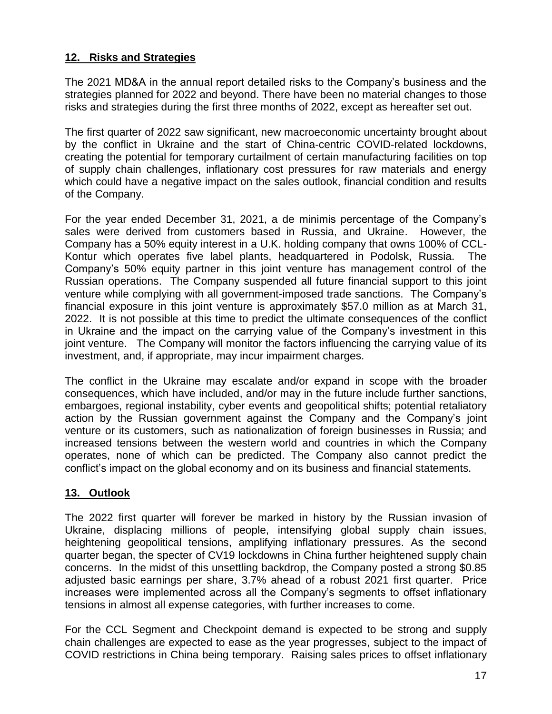## **12. Risks and Strategies**

The 2021 MD&A in the annual report detailed risks to the Company's business and the strategies planned for 2022 and beyond. There have been no material changes to those risks and strategies during the first three months of 2022, except as hereafter set out.

The first quarter of 2022 saw significant, new macroeconomic uncertainty brought about by the conflict in Ukraine and the start of China-centric COVID-related lockdowns, creating the potential for temporary curtailment of certain manufacturing facilities on top of supply chain challenges, inflationary cost pressures for raw materials and energy which could have a negative impact on the sales outlook, financial condition and results of the Company.

For the year ended December 31, 2021, a de minimis percentage of the Company's sales were derived from customers based in Russia, and Ukraine. However, the Company has a 50% equity interest in a U.K. holding company that owns 100% of CCL-Kontur which operates five label plants, headquartered in Podolsk, Russia. The Company's 50% equity partner in this joint venture has management control of the Russian operations. The Company suspended all future financial support to this joint venture while complying with all government-imposed trade sanctions. The Company's financial exposure in this joint venture is approximately \$57.0 million as at March 31, 2022. It is not possible at this time to predict the ultimate consequences of the conflict in Ukraine and the impact on the carrying value of the Company's investment in this joint venture. The Company will monitor the factors influencing the carrying value of its investment, and, if appropriate, may incur impairment charges.

The conflict in the Ukraine may escalate and/or expand in scope with the broader consequences, which have included, and/or may in the future include further sanctions, embargoes, regional instability, cyber events and geopolitical shifts; potential retaliatory action by the Russian government against the Company and the Company's joint venture or its customers, such as nationalization of foreign businesses in Russia; and increased tensions between the western world and countries in which the Company operates, none of which can be predicted. The Company also cannot predict the conflict's impact on the global economy and on its business and financial statements.

## **13. Outlook**

The 2022 first quarter will forever be marked in history by the Russian invasion of Ukraine, displacing millions of people, intensifying global supply chain issues, heightening geopolitical tensions, amplifying inflationary pressures. As the second quarter began, the specter of CV19 lockdowns in China further heightened supply chain concerns. In the midst of this unsettling backdrop, the Company posted a strong \$0.85 adjusted basic earnings per share, 3.7% ahead of a robust 2021 first quarter. Price increases were implemented across all the Company's segments to offset inflationary tensions in almost all expense categories, with further increases to come.

For the CCL Segment and Checkpoint demand is expected to be strong and supply chain challenges are expected to ease as the year progresses, subject to the impact of COVID restrictions in China being temporary. Raising sales prices to offset inflationary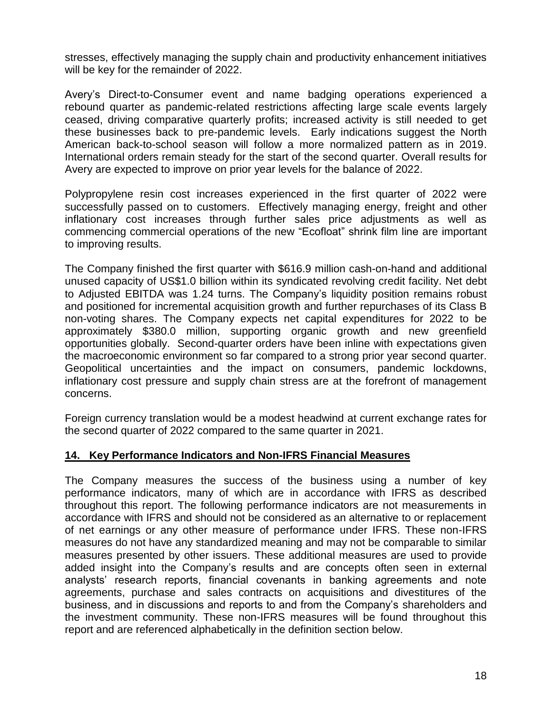stresses, effectively managing the supply chain and productivity enhancement initiatives will be key for the remainder of 2022.

Avery's Direct-to-Consumer event and name badging operations experienced a rebound quarter as pandemic-related restrictions affecting large scale events largely ceased, driving comparative quarterly profits; increased activity is still needed to get these businesses back to pre-pandemic levels. Early indications suggest the North American back-to-school season will follow a more normalized pattern as in 2019. International orders remain steady for the start of the second quarter. Overall results for Avery are expected to improve on prior year levels for the balance of 2022.

Polypropylene resin cost increases experienced in the first quarter of 2022 were successfully passed on to customers. Effectively managing energy, freight and other inflationary cost increases through further sales price adjustments as well as commencing commercial operations of the new "Ecofloat" shrink film line are important to improving results.

The Company finished the first quarter with \$616.9 million cash-on-hand and additional unused capacity of US\$1.0 billion within its syndicated revolving credit facility. Net debt to Adjusted EBITDA was 1.24 turns. The Company's liquidity position remains robust and positioned for incremental acquisition growth and further repurchases of its Class B non-voting shares. The Company expects net capital expenditures for 2022 to be approximately \$380.0 million, supporting organic growth and new greenfield opportunities globally. Second-quarter orders have been inline with expectations given the macroeconomic environment so far compared to a strong prior year second quarter. Geopolitical uncertainties and the impact on consumers, pandemic lockdowns, inflationary cost pressure and supply chain stress are at the forefront of management concerns.

Foreign currency translation would be a modest headwind at current exchange rates for the second quarter of 2022 compared to the same quarter in 2021.

## **14. Key Performance Indicators and Non-IFRS Financial Measures**

The Company measures the success of the business using a number of key performance indicators, many of which are in accordance with IFRS as described throughout this report. The following performance indicators are not measurements in accordance with IFRS and should not be considered as an alternative to or replacement of net earnings or any other measure of performance under IFRS. These non-IFRS measures do not have any standardized meaning and may not be comparable to similar measures presented by other issuers. These additional measures are used to provide added insight into the Company's results and are concepts often seen in external analysts' research reports, financial covenants in banking agreements and note agreements, purchase and sales contracts on acquisitions and divestitures of the business, and in discussions and reports to and from the Company's shareholders and the investment community. These non-IFRS measures will be found throughout this report and are referenced alphabetically in the definition section below.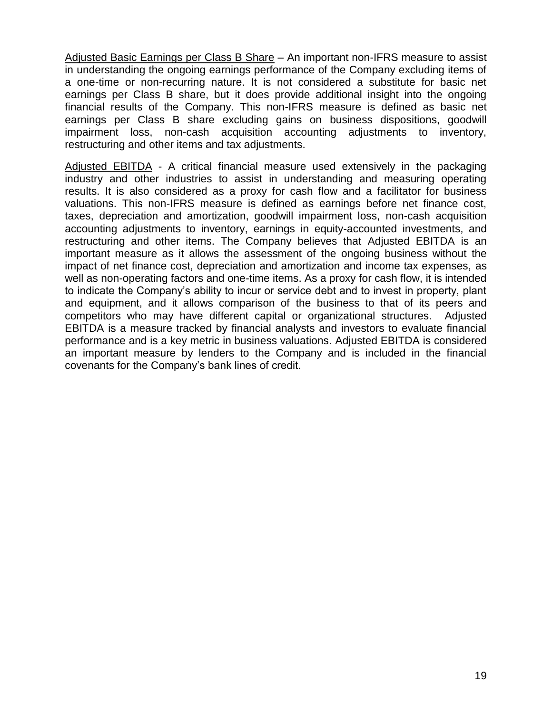Adjusted Basic Earnings per Class B Share – An important non-IFRS measure to assist in understanding the ongoing earnings performance of the Company excluding items of a one-time or non-recurring nature. It is not considered a substitute for basic net earnings per Class B share, but it does provide additional insight into the ongoing financial results of the Company. This non-IFRS measure is defined as basic net earnings per Class B share excluding gains on business dispositions, goodwill impairment loss, non-cash acquisition accounting adjustments to inventory, restructuring and other items and tax adjustments.

Adjusted EBITDA - A critical financial measure used extensively in the packaging industry and other industries to assist in understanding and measuring operating results. It is also considered as a proxy for cash flow and a facilitator for business valuations. This non-IFRS measure is defined as earnings before net finance cost, taxes, depreciation and amortization, goodwill impairment loss, non-cash acquisition accounting adjustments to inventory, earnings in equity-accounted investments, and restructuring and other items. The Company believes that Adjusted EBITDA is an important measure as it allows the assessment of the ongoing business without the impact of net finance cost, depreciation and amortization and income tax expenses, as well as non-operating factors and one-time items. As a proxy for cash flow, it is intended to indicate the Company's ability to incur or service debt and to invest in property, plant and equipment, and it allows comparison of the business to that of its peers and competitors who may have different capital or organizational structures. Adjusted EBITDA is a measure tracked by financial analysts and investors to evaluate financial performance and is a key metric in business valuations. Adjusted EBITDA is considered an important measure by lenders to the Company and is included in the financial covenants for the Company's bank lines of credit.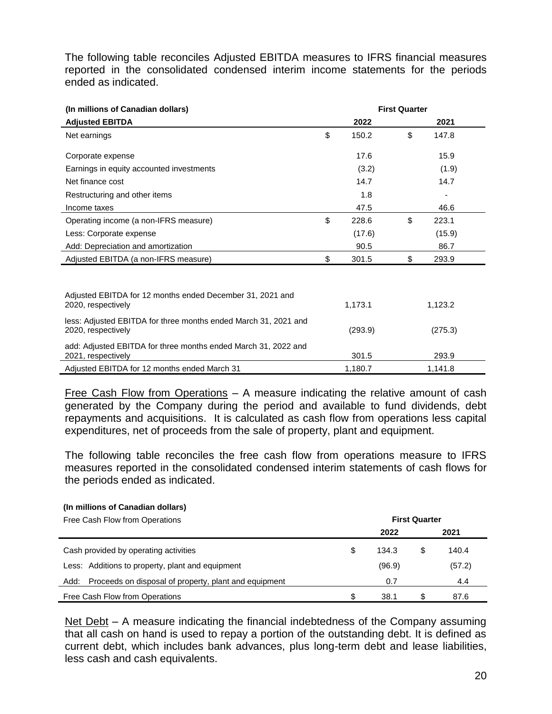The following table reconciles Adjusted EBITDA measures to IFRS financial measures reported in the consolidated condensed interim income statements for the periods ended as indicated.

| (In millions of Canadian dollars)                                                     | <b>First Quarter</b> |    |         |  |  |
|---------------------------------------------------------------------------------------|----------------------|----|---------|--|--|
| <b>Adjusted EBITDA</b>                                                                | 2022                 |    | 2021    |  |  |
| Net earnings                                                                          | \$<br>150.2          | \$ | 147.8   |  |  |
| Corporate expense                                                                     | 17.6                 |    | 15.9    |  |  |
| Earnings in equity accounted investments                                              | (3.2)                |    | (1.9)   |  |  |
| Net finance cost                                                                      | 14.7                 |    | 14.7    |  |  |
| Restructuring and other items                                                         | 1.8                  |    |         |  |  |
| Income taxes                                                                          | 47.5                 |    | 46.6    |  |  |
| Operating income (a non-IFRS measure)                                                 | \$<br>228.6          | \$ | 223.1   |  |  |
| Less: Corporate expense                                                               | (17.6)               |    | (15.9)  |  |  |
| Add: Depreciation and amortization                                                    | 90.5                 |    | 86.7    |  |  |
| Adjusted EBITDA (a non-IFRS measure)                                                  | \$<br>301.5          | \$ | 293.9   |  |  |
|                                                                                       |                      |    |         |  |  |
| Adjusted EBITDA for 12 months ended December 31, 2021 and<br>2020, respectively       | 1,173.1              |    | 1,123.2 |  |  |
| less: Adjusted EBITDA for three months ended March 31, 2021 and<br>2020, respectively | (293.9)              |    | (275.3) |  |  |
| add: Adjusted EBITDA for three months ended March 31, 2022 and<br>2021, respectively  | 301.5                |    | 293.9   |  |  |
| Adjusted EBITDA for 12 months ended March 31                                          | 1,180.7              |    | 1,141.8 |  |  |

Free Cash Flow from Operations  $-$  A measure indicating the relative amount of cash generated by the Company during the period and available to fund dividends, debt repayments and acquisitions. It is calculated as cash flow from operations less capital expenditures, net of proceeds from the sale of property, plant and equipment.

The following table reconciles the free cash flow from operations measure to IFRS measures reported in the consolidated condensed interim statements of cash flows for the periods ended as indicated.

### **(In millions of Canadian dollars)**

| Free Cash Flow from Operations                                | <b>First Quarter</b> |        |   |        |  |
|---------------------------------------------------------------|----------------------|--------|---|--------|--|
|                                                               |                      | 2022   |   | 2021   |  |
| Cash provided by operating activities                         | S                    | 134.3  | S | 140.4  |  |
| Less: Additions to property, plant and equipment              |                      | (96.9) |   | (57.2) |  |
| Proceeds on disposal of property, plant and equipment<br>Add: |                      | 0.7    |   | 4.4    |  |
| Free Cash Flow from Operations                                |                      | 38.1   |   | 87.6   |  |

Net Debt – A measure indicating the financial indebtedness of the Company assuming that all cash on hand is used to repay a portion of the outstanding debt. It is defined as current debt, which includes bank advances, plus long-term debt and lease liabilities, less cash and cash equivalents.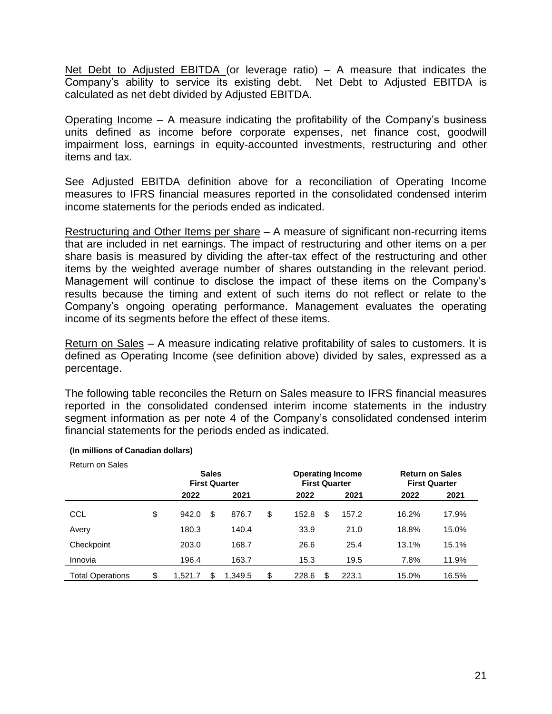Net Debt to Adjusted EBITDA (or leverage ratio) – A measure that indicates the Company's ability to service its existing debt. Net Debt to Adjusted EBITDA is calculated as net debt divided by Adjusted EBITDA.

Operating Income – A measure indicating the profitability of the Company's business units defined as income before corporate expenses, net finance cost, goodwill impairment loss, earnings in equity-accounted investments, restructuring and other items and tax.

See Adjusted EBITDA definition above for a reconciliation of Operating Income measures to IFRS financial measures reported in the consolidated condensed interim income statements for the periods ended as indicated.

Restructuring and Other Items per share – A measure of significant non-recurring items that are included in net earnings. The impact of restructuring and other items on a per share basis is measured by dividing the after-tax effect of the restructuring and other items by the weighted average number of shares outstanding in the relevant period. Management will continue to disclose the impact of these items on the Company's results because the timing and extent of such items do not reflect or relate to the Company's ongoing operating performance. Management evaluates the operating income of its segments before the effect of these items.

Return on Sales – A measure indicating relative profitability of sales to customers. It is defined as Operating Income (see definition above) divided by sales, expressed as a percentage.

The following table reconciles the Return on Sales measure to IFRS financial measures reported in the consolidated condensed interim income statements in the industry segment information as per note 4 of the Company's consolidated condensed interim financial statements for the periods ended as indicated.

| <b>Return on Sales</b>  | <b>Sales</b><br><b>First Quarter</b> |    | <b>Operating Income</b><br><b>First Quarter</b> |             |    | <b>Return on Sales</b><br><b>First Quarter</b> |       |       |
|-------------------------|--------------------------------------|----|-------------------------------------------------|-------------|----|------------------------------------------------|-------|-------|
|                         | 2022                                 |    | 2021                                            | 2022        |    | 2021                                           | 2022  | 2021  |
| CCL                     | \$<br>942.0                          | \$ | 876.7                                           | \$<br>152.8 | \$ | 157.2                                          | 16.2% | 17.9% |
| Avery                   | 180.3                                |    | 140.4                                           | 33.9        |    | 21.0                                           | 18.8% | 15.0% |
| Checkpoint              | 203.0                                |    | 168.7                                           | 26.6        |    | 25.4                                           | 13.1% | 15.1% |
| Innovia                 | 196.4                                |    | 163.7                                           | 15.3        |    | 19.5                                           | 7.8%  | 11.9% |
| <b>Total Operations</b> | \$<br>1.521.7                        | S  | 1.349.5                                         | \$<br>228.6 |    | 223.1                                          | 15.0% | 16.5% |

### **(In millions of Canadian dollars)**